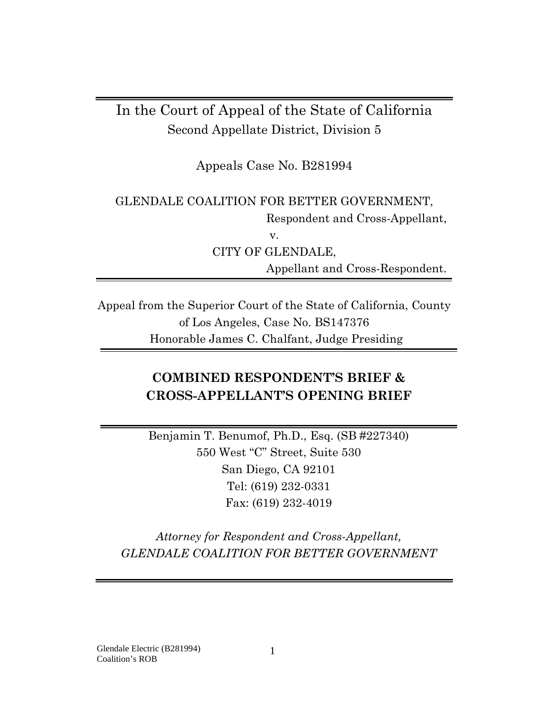# In the Court of Appeal of the State of California Second Appellate District, Division 5

Appeals Case No. B281994

GLENDALE COALITION FOR BETTER GOVERNMENT, Respondent and Cross-Appellant, v. CITY OF GLENDALE, Appellant and Cross-Respondent.

Appeal from the Superior Court of the State of California, County of Los Angeles, Case No. BS147376 Honorable James C. Chalfant, Judge Presiding

# **COMBINED RESPONDENT'S BRIEF & CROSS-APPELLANT'S OPENING BRIEF**

Benjamin T. Benumof, Ph.D., Esq. (SB #227340) 550 West "C" Street, Suite 530 San Diego, CA 92101 Tel: (619) 232-0331 Fax: (619) 232-4019

*Attorney for Respondent and Cross-Appellant, GLENDALE COALITION FOR BETTER GOVERNMENT*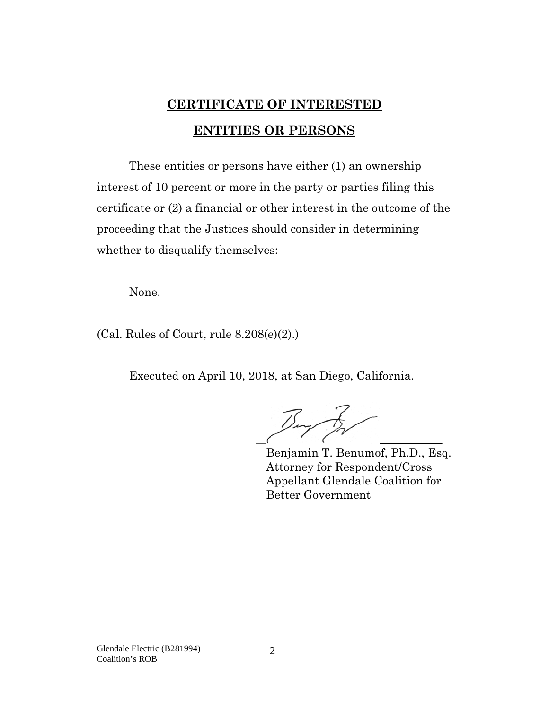# **CERTIFICATE OF INTERESTED ENTITIES OR PERSONS**

<span id="page-1-1"></span><span id="page-1-0"></span>These entities or persons have either (1) an ownership interest of 10 percent or more in the party or parties filing this certificate or (2) a financial or other interest in the outcome of the proceeding that the Justices should consider in determining whether to disqualify themselves:

None.

(Cal. Rules of Court, rule 8.208(e)(2).)

Executed on April 10, 2018, at San Diego, California.

Buy for

Benjamin T. Benumof, Ph.D., Esq. Attorney for Respondent/Cross Appellant Glendale Coalition for Better Government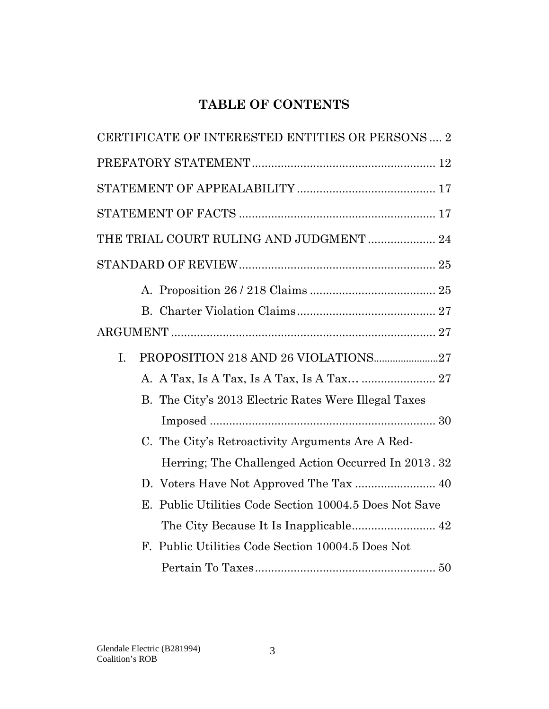# **TABLE OF CONTENTS**

| CERTIFICATE OF INTERESTED ENTITIES OR PERSONS 2        |
|--------------------------------------------------------|
|                                                        |
|                                                        |
|                                                        |
| THE TRIAL COURT RULING AND JUDGMENT  24                |
|                                                        |
|                                                        |
|                                                        |
|                                                        |
| I.                                                     |
| A. A Tax, Is A Tax, Is A Tax, Is A Tax  27             |
| B. The City's 2013 Electric Rates Were Illegal Taxes   |
|                                                        |
| C. The City's Retroactivity Arguments Are A Red-       |
| Herring; The Challenged Action Occurred In 2013. 32    |
|                                                        |
| E. Public Utilities Code Section 10004.5 Does Not Save |
|                                                        |
| F. Public Utilities Code Section 10004.5 Does Not      |
|                                                        |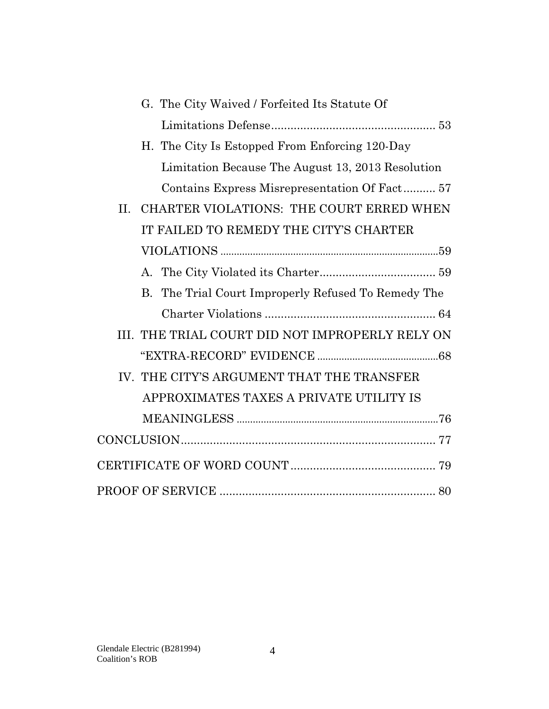| G. The City Waived / Forfeited Its Statute Of          |
|--------------------------------------------------------|
|                                                        |
| H. The City Is Estopped From Enforcing 120-Day         |
| Limitation Because The August 13, 2013 Resolution      |
| Contains Express Misrepresentation Of Fact 57          |
| CHARTER VIOLATIONS: THE COURT ERRED WHEN<br>II.        |
| IT FAILED TO REMEDY THE CITY'S CHARTER                 |
|                                                        |
| A.                                                     |
| The Trial Court Improperly Refused To Remedy The<br>B. |
|                                                        |
| III. THE TRIAL COURT DID NOT IMPROPERLY RELY ON        |
|                                                        |
| IV. THE CITY'S ARGUMENT THAT THE TRANSFER              |
| APPROXIMATES TAXES A PRIVATE UTILITY IS                |
|                                                        |
|                                                        |
|                                                        |
|                                                        |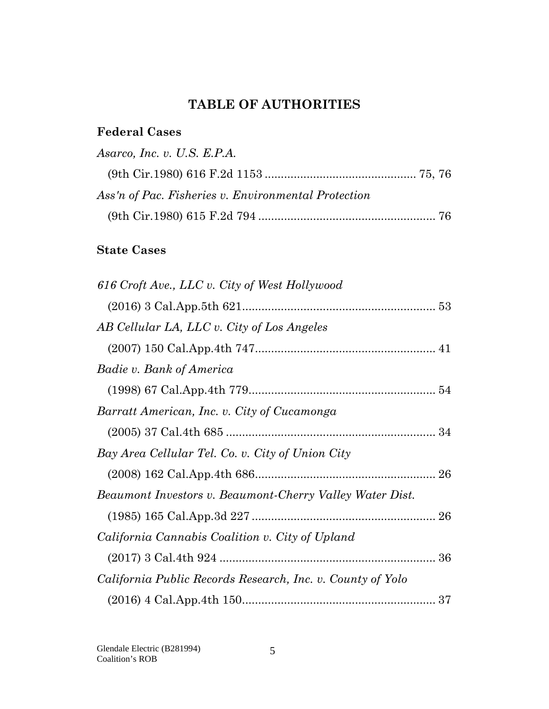# **TABLE OF AUTHORITIES**

## **Federal Cases**

| Asarco, Inc. v. U.S. E.P.A.                         |  |
|-----------------------------------------------------|--|
|                                                     |  |
| Ass'n of Pac. Fisheries v. Environmental Protection |  |
|                                                     |  |

# **State Cases**

| 616 Croft Ave., LLC v. City of West Hollywood              |  |
|------------------------------------------------------------|--|
|                                                            |  |
| AB Cellular LA, LLC v. City of Los Angeles                 |  |
|                                                            |  |
| Badie v. Bank of America                                   |  |
|                                                            |  |
| Barratt American, Inc. v. City of Cucamonga                |  |
|                                                            |  |
| Bay Area Cellular Tel. Co. v. City of Union City           |  |
|                                                            |  |
| Beaumont Investors v. Beaumont-Cherry Valley Water Dist.   |  |
|                                                            |  |
| California Cannabis Coalition v. City of Upland            |  |
|                                                            |  |
| California Public Records Research, Inc. v. County of Yolo |  |
|                                                            |  |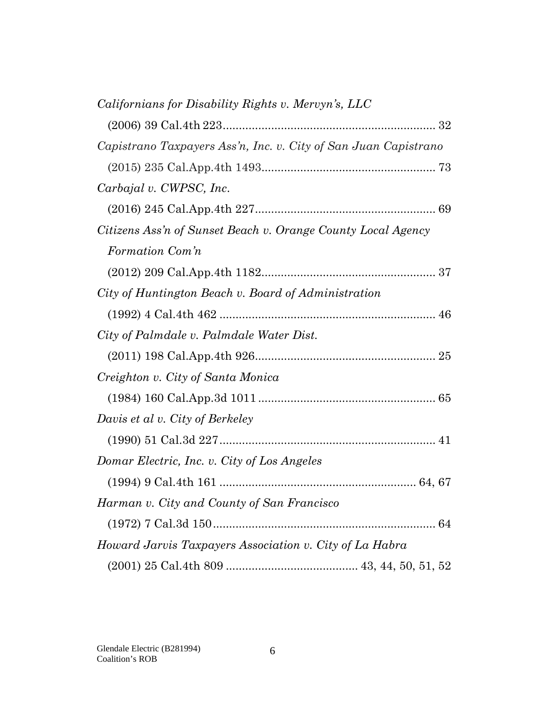| Californians for Disability Rights v. Mervyn's, LLC             |
|-----------------------------------------------------------------|
|                                                                 |
| Capistrano Taxpayers Ass'n, Inc. v. City of San Juan Capistrano |
|                                                                 |
| Carbajal v. CWPSC, Inc.                                         |
|                                                                 |
| Citizens Ass'n of Sunset Beach v. Orange County Local Agency    |
| Formation Com'n                                                 |
|                                                                 |
| City of Huntington Beach v. Board of Administration             |
|                                                                 |
| City of Palmdale v. Palmdale Water Dist.                        |
|                                                                 |
| Creighton v. City of Santa Monica                               |
|                                                                 |
| Davis et al v. City of Berkeley                                 |
|                                                                 |
| Domar Electric, Inc. v. City of Los Angeles                     |
|                                                                 |
| Harman v. City and County of San Francisco                      |
|                                                                 |
| Howard Jarvis Taxpayers Association v. City of La Habra         |
|                                                                 |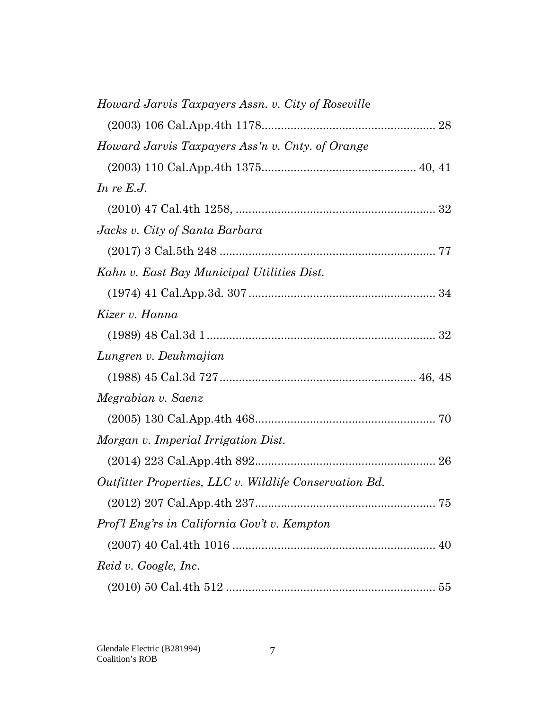| Howard Jarvis Taxpayers Assn. v. City of Roseville     |  |
|--------------------------------------------------------|--|
|                                                        |  |
| Howard Jarvis Taxpayers Ass'n v. Cnty. of Orange       |  |
|                                                        |  |
| In re $E.J.$                                           |  |
|                                                        |  |
| Jacks v. City of Santa Barbara                         |  |
|                                                        |  |
| Kahn v. East Bay Municipal Utilities Dist.             |  |
|                                                        |  |
| Kizer v. Hanna                                         |  |
|                                                        |  |
| Lungren v. Deukmajian                                  |  |
|                                                        |  |
| Megrabian v. Saenz                                     |  |
|                                                        |  |
| Morgan v. Imperial Irrigation Dist.                    |  |
|                                                        |  |
| Outfitter Properties, LLC v. Wildlife Conservation Bd. |  |
|                                                        |  |
| Prof'l Eng'rs in California Gov't v. Kempton           |  |
|                                                        |  |
| Reid v. Google, Inc.                                   |  |
|                                                        |  |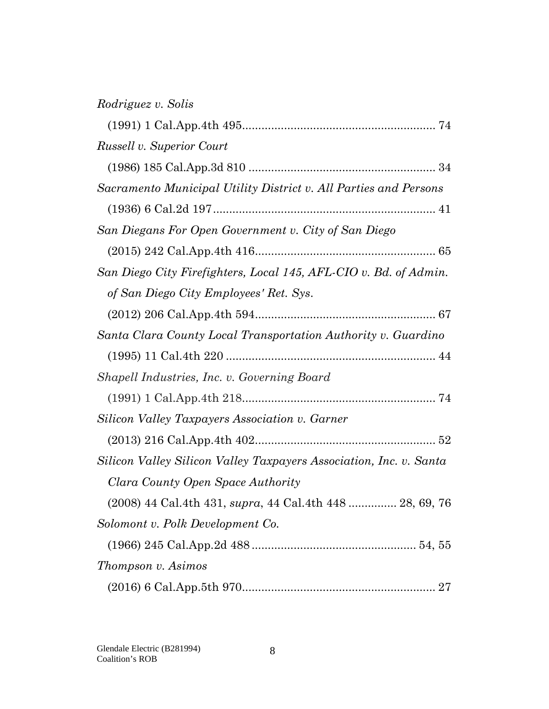| Russell v. Superior Court                                          |
|--------------------------------------------------------------------|
|                                                                    |
| Sacramento Municipal Utility District v. All Parties and Persons   |
|                                                                    |
| San Diegans For Open Government v. City of San Diego               |
|                                                                    |
| San Diego City Firefighters, Local 145, AFL-CIO v. Bd. of Admin.   |
| of San Diego City Employees' Ret. Sys.                             |
|                                                                    |
| Santa Clara County Local Transportation Authority v. Guardino      |
|                                                                    |
| Shapell Industries, Inc. v. Governing Board                        |
|                                                                    |
| Silicon Valley Taxpayers Association v. Garner                     |
|                                                                    |
| Silicon Valley Silicon Valley Taxpayers Association, Inc. v. Santa |
| Clara County Open Space Authority                                  |
| (2008) 44 Cal.4th 431, <i>supra</i> , 44 Cal.4th 448  28, 69, 76   |
| Solomont v. Polk Development Co.                                   |
|                                                                    |
| Thompson v. Asimos                                                 |
| 27                                                                 |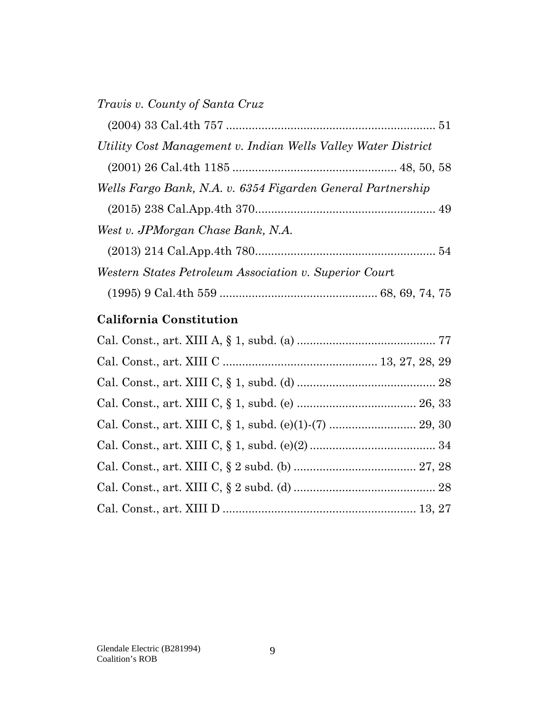| Utility Cost Management v. Indian Wells Valley Water District |  |
|---------------------------------------------------------------|--|
|                                                               |  |
| Wells Fargo Bank, N.A. v. 6354 Figarden General Partnership   |  |
|                                                               |  |
| West v. JPMorgan Chase Bank, N.A.                             |  |
|                                                               |  |
| Western States Petroleum Association v. Superior Court        |  |
|                                                               |  |
|                                                               |  |

# **California Constitution**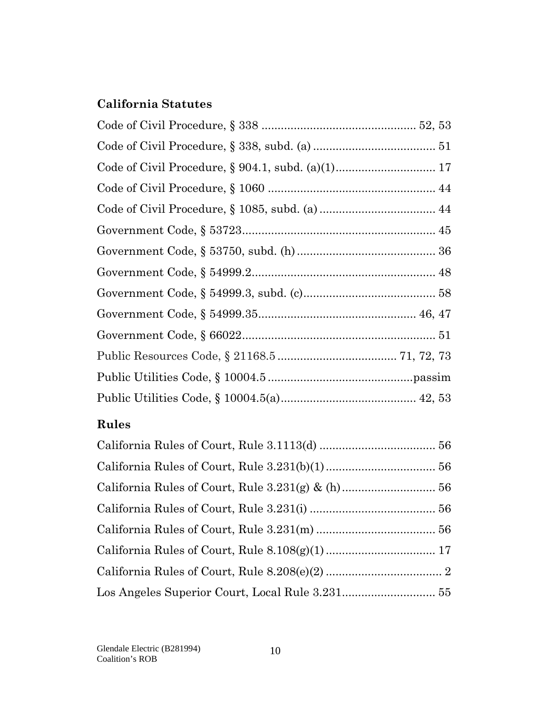# **California Statutes**

## **Rules**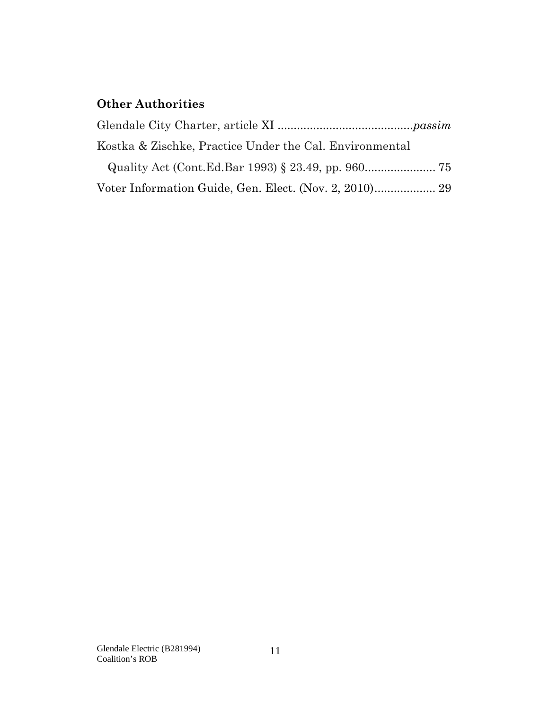## **Other Authorities**

| Kostka & Zischke, Practice Under the Cal. Environmental |  |
|---------------------------------------------------------|--|
|                                                         |  |
|                                                         |  |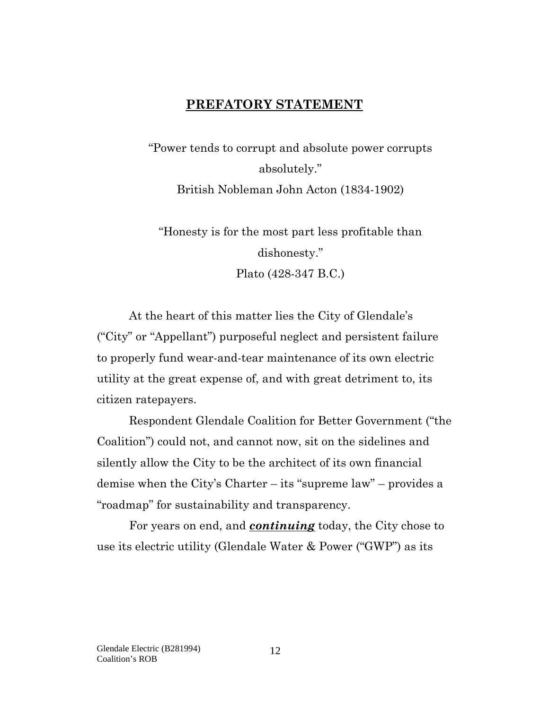### **PREFATORY STATEMENT**

<span id="page-11-0"></span>"Power tends to corrupt and absolute power corrupts absolutely." British Nobleman John Acton (1834-1902)

"Honesty is for the most part less profitable than dishonesty." Plato (428-347 B.C.)

At the heart of this matter lies the City of Glendale's ("City" or "Appellant") purposeful neglect and persistent failure to properly fund wear-and-tear maintenance of its own electric utility at the great expense of, and with great detriment to, its citizen ratepayers.

Respondent Glendale Coalition for Better Government ("the Coalition") could not, and cannot now, sit on the sidelines and silently allow the City to be the architect of its own financial demise when the City's Charter – its "supreme law" – provides a "roadmap" for sustainability and transparency.

For years on end, and *continuing* today, the City chose to use its electric utility (Glendale Water & Power ("GWP") as its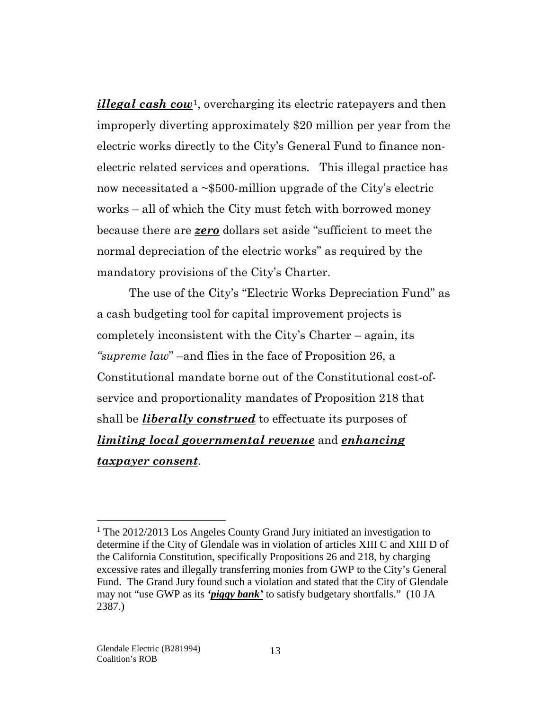*illegal cash cow*[1](#page-12-0), overcharging its electric ratepayers and then improperly diverting approximately \$20 million per year from the electric works directly to the City's General Fund to finance nonelectric related services and operations. This illegal practice has now necessitated a ~\$500-million upgrade of the City's electric works – all of which the City must fetch with borrowed money because there are *zero* dollars set aside "sufficient to meet the normal depreciation of the electric works" as required by the mandatory provisions of the City's Charter.

The use of the City's "Electric Works Depreciation Fund" as a cash budgeting tool for capital improvement projects is completely inconsistent with the City's Charter – again, its *"supreme law*" –and flies in the face of Proposition 26, a Constitutional mandate borne out of the Constitutional cost-ofservice and proportionality mandates of Proposition 218 that shall be *liberally construed* to effectuate its purposes of *limiting local governmental revenue* and *enhancing taxpayer consent*.

 $\overline{a}$ 

<span id="page-12-0"></span><sup>&</sup>lt;sup>1</sup> The 2012/2013 Los Angeles County Grand Jury initiated an investigation to determine if the City of Glendale was in violation of articles XIII C and XIII D of the California Constitution, specifically Propositions 26 and 218, by charging excessive rates and illegally transferring monies from GWP to the City's General Fund. The Grand Jury found such a violation and stated that the City of Glendale may not "use GWP as its *'piggy bank'* to satisfy budgetary shortfalls." (10 JA 2387.)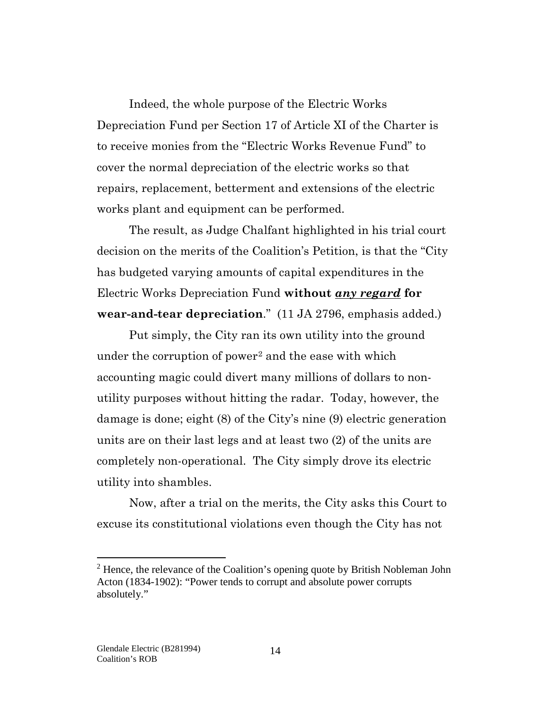Indeed, the whole purpose of the Electric Works Depreciation Fund per Section 17 of Article XI of the Charter is to receive monies from the "Electric Works Revenue Fund" to cover the normal depreciation of the electric works so that repairs, replacement, betterment and extensions of the electric works plant and equipment can be performed.

The result, as Judge Chalfant highlighted in his trial court decision on the merits of the Coalition's Petition, is that the "City has budgeted varying amounts of capital expenditures in the Electric Works Depreciation Fund **without** *any regard* **for wear-and-tear depreciation**." (11 JA 2796, emphasis added.)

Put simply, the City ran its own utility into the ground under the corruption of power<sup>[2](#page-13-0)</sup> and the ease with which accounting magic could divert many millions of dollars to nonutility purposes without hitting the radar. Today, however, the damage is done; eight (8) of the City's nine (9) electric generation units are on their last legs and at least two (2) of the units are completely non-operational. The City simply drove its electric utility into shambles.

Now, after a trial on the merits, the City asks this Court to excuse its constitutional violations even though the City has not

 $\overline{a}$ 

<span id="page-13-0"></span> $2$  Hence, the relevance of the Coalition's opening quote by British Nobleman John Acton (1834-1902): "Power tends to corrupt and absolute power corrupts absolutely."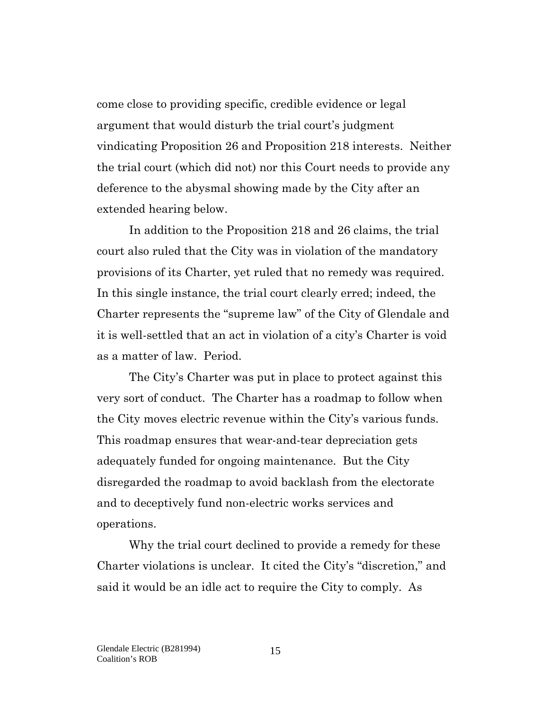come close to providing specific, credible evidence or legal argument that would disturb the trial court's judgment vindicating Proposition 26 and Proposition 218 interests. Neither the trial court (which did not) nor this Court needs to provide any deference to the abysmal showing made by the City after an extended hearing below.

In addition to the Proposition 218 and 26 claims, the trial court also ruled that the City was in violation of the mandatory provisions of its Charter, yet ruled that no remedy was required. In this single instance, the trial court clearly erred; indeed, the Charter represents the "supreme law" of the City of Glendale and it is well-settled that an act in violation of a city's Charter is void as a matter of law. Period.

The City's Charter was put in place to protect against this very sort of conduct. The Charter has a roadmap to follow when the City moves electric revenue within the City's various funds. This roadmap ensures that wear-and-tear depreciation gets adequately funded for ongoing maintenance. But the City disregarded the roadmap to avoid backlash from the electorate and to deceptively fund non-electric works services and operations.

Why the trial court declined to provide a remedy for these Charter violations is unclear. It cited the City's "discretion," and said it would be an idle act to require the City to comply. As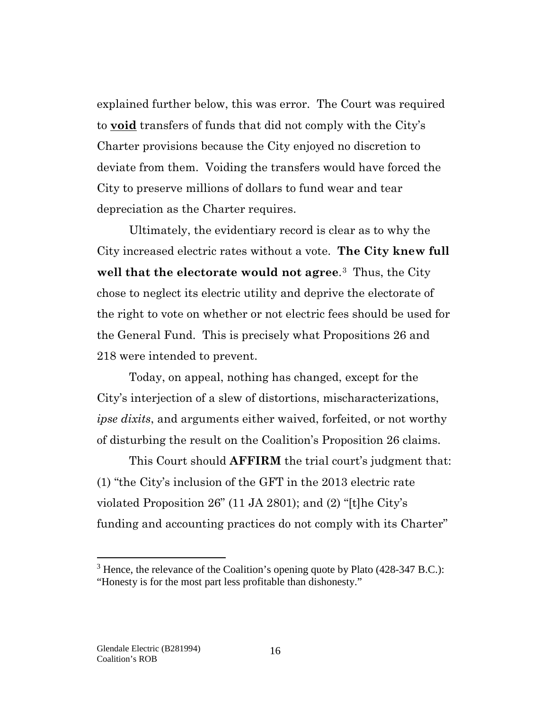explained further below, this was error. The Court was required to **void** transfers of funds that did not comply with the City's Charter provisions because the City enjoyed no discretion to deviate from them. Voiding the transfers would have forced the City to preserve millions of dollars to fund wear and tear depreciation as the Charter requires.

Ultimately, the evidentiary record is clear as to why the City increased electric rates without a vote. **The City knew full well that the electorate would not agree**.[3](#page-15-0) Thus, the City chose to neglect its electric utility and deprive the electorate of the right to vote on whether or not electric fees should be used for the General Fund. This is precisely what Propositions 26 and 218 were intended to prevent.

Today, on appeal, nothing has changed, except for the City's interjection of a slew of distortions, mischaracterizations, *ipse dixits*, and arguments either waived, forfeited, or not worthy of disturbing the result on the Coalition's Proposition 26 claims.

This Court should **AFFIRM** the trial court's judgment that: (1) "the City's inclusion of the GFT in the 2013 electric rate violated Proposition 26" (11 JA 2801); and (2) "[t]he City's funding and accounting practices do not comply with its Charter"

 $\overline{a}$ 

<span id="page-15-0"></span> $3$  Hence, the relevance of the Coalition's opening quote by Plato (428-347 B.C.): "Honesty is for the most part less profitable than dishonesty."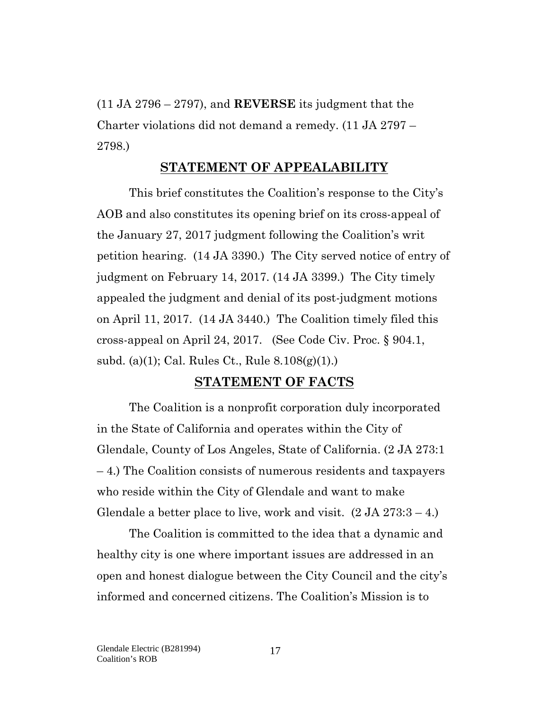(11 JA 2796 – 2797), and **REVERSE** its judgment that the Charter violations did not demand a remedy. (11 JA 2797 – 2798.)

#### **STATEMENT OF APPEALABILITY**

<span id="page-16-0"></span>This brief constitutes the Coalition's response to the City's AOB and also constitutes its opening brief on its cross-appeal of the January 27, 2017 judgment following the Coalition's writ petition hearing. (14 JA 3390.) The City served notice of entry of judgment on February 14, 2017. (14 JA 3399.) The City timely appealed the judgment and denial of its post-judgment motions on April 11, 2017. (14 JA 3440.) The Coalition timely filed this cross-appeal on April 24, 2017. (See Code Civ. Proc. § 904.1, subd. (a)(1); Cal. Rules Ct., Rule 8.108(g)(1).)

#### **STATEMENT OF FACTS**

<span id="page-16-1"></span>The Coalition is a nonprofit corporation duly incorporated in the State of California and operates within the City of Glendale, County of Los Angeles, State of California. (2 JA 273:1 – 4.) The Coalition consists of numerous residents and taxpayers who reside within the City of Glendale and want to make Glendale a better place to live, work and visit.  $(2 JA 273:3 - 4.)$ 

The Coalition is committed to the idea that a dynamic and healthy city is one where important issues are addressed in an open and honest dialogue between the City Council and the city's informed and concerned citizens. The Coalition's Mission is to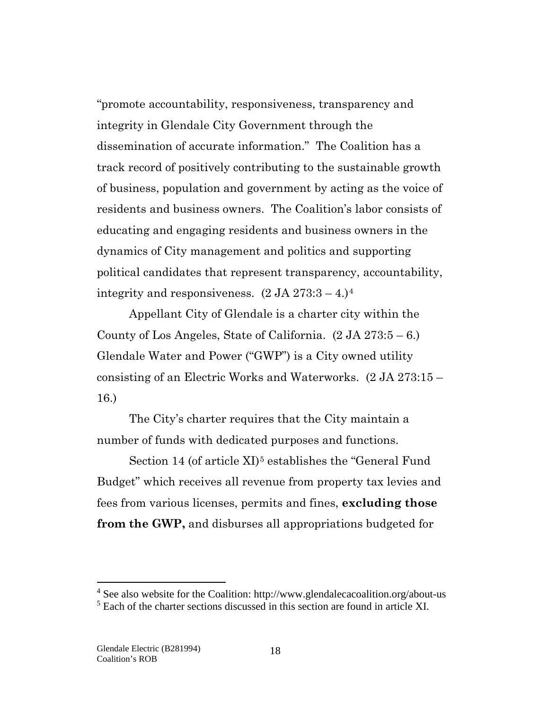"promote accountability, responsiveness, transparency and integrity in Glendale City Government through the dissemination of accurate information." The Coalition has a track record of positively contributing to the sustainable growth of business, population and government by acting as the voice of residents and business owners. The Coalition's labor consists of educating and engaging residents and business owners in the dynamics of City management and politics and supporting political candidates that represent transparency, accountability, integrity and responsiveness.  $(2 \text{ JA } 273:3 - 4)^4$  $(2 \text{ JA } 273:3 - 4)^4$  $(2 \text{ JA } 273:3 - 4)^4$ 

Appellant City of Glendale is a charter city within the County of Los Angeles, State of California.  $(2 JA 273:5-6.)$ Glendale Water and Power ("GWP") is a City owned utility consisting of an Electric Works and Waterworks. (2 JA 273:15 – 16.)

The City's charter requires that the City maintain a number of funds with dedicated purposes and functions.

Section 14 (of article XI)<sup>[5](#page-17-1)</sup> establishes the "General Fund" Budget" which receives all revenue from property tax levies and fees from various licenses, permits and fines, **excluding those from the GWP,** and disburses all appropriations budgeted for

 $\overline{a}$ 

<span id="page-17-0"></span><sup>&</sup>lt;sup>4</sup> See also website for the Coalition: http://www.glendalecacoalition.org/about-us

<span id="page-17-1"></span><sup>&</sup>lt;sup>5</sup> Each of the charter sections discussed in this section are found in article XI.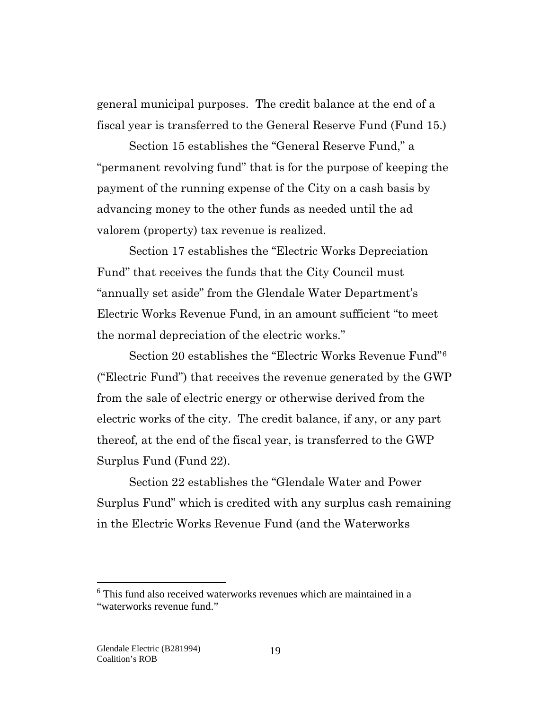general municipal purposes. The credit balance at the end of a fiscal year is transferred to the General Reserve Fund (Fund 15.)

Section 15 establishes the "General Reserve Fund," a "permanent revolving fund" that is for the purpose of keeping the payment of the running expense of the City on a cash basis by advancing money to the other funds as needed until the ad valorem (property) tax revenue is realized.

Section 17 establishes the "Electric Works Depreciation Fund" that receives the funds that the City Council must "annually set aside" from the Glendale Water Department's Electric Works Revenue Fund, in an amount sufficient "to meet the normal depreciation of the electric works."

Section 20 establishes the "Electric Works Revenue Fund"[6](#page-18-0) ("Electric Fund") that receives the revenue generated by the GWP from the sale of electric energy or otherwise derived from the electric works of the city. The credit balance, if any, or any part thereof, at the end of the fiscal year, is transferred to the GWP Surplus Fund (Fund 22).

Section 22 establishes the "Glendale Water and Power Surplus Fund" which is credited with any surplus cash remaining in the Electric Works Revenue Fund (and the Waterworks

 $\overline{a}$ 

<span id="page-18-0"></span><sup>6</sup> This fund also received waterworks revenues which are maintained in a "waterworks revenue fund."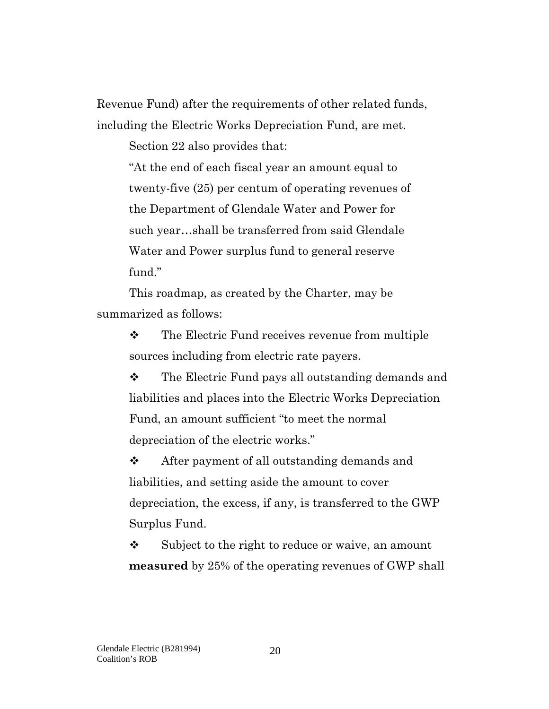Revenue Fund) after the requirements of other related funds, including the Electric Works Depreciation Fund, are met.

Section 22 also provides that:

"At the end of each fiscal year an amount equal to twenty-five (25) per centum of operating revenues of the Department of Glendale Water and Power for such year…shall be transferred from said Glendale Water and Power surplus fund to general reserve fund."

This roadmap, as created by the Charter, may be summarized as follows:

> **❖** The Electric Fund receives revenue from multiple sources including from electric rate payers.

\* The Electric Fund pays all outstanding demands and liabilities and places into the Electric Works Depreciation Fund, an amount sufficient "to meet the normal depreciation of the electric works."

**❖** After payment of all outstanding demands and liabilities, and setting aside the amount to cover depreciation, the excess, if any, is transferred to the GWP Surplus Fund.

 $\mathbf{\hat{P}}$  Subject to the right to reduce or waive, an amount **measured** by 25% of the operating revenues of GWP shall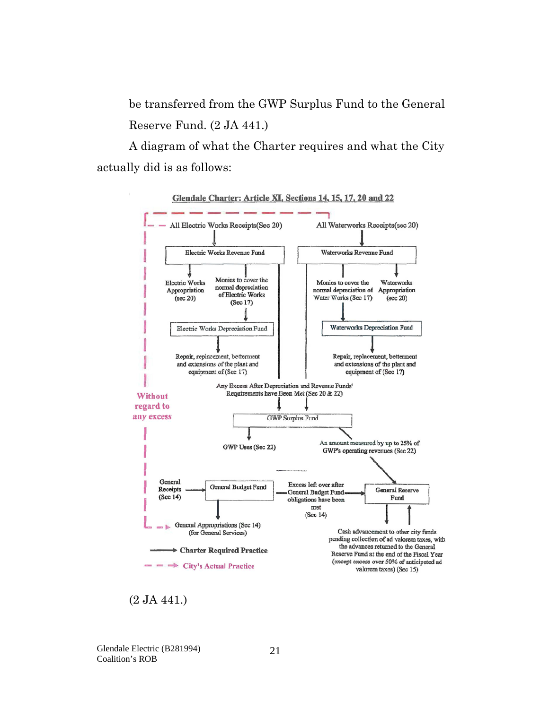be transferred from the GWP Surplus Fund to the General Reserve Fund. (2 JA 441.)

A diagram of what the Charter requires and what the City actually did is as follows:



<sup>(2</sup> JA 441.)

Glendale Electric (B281994) Coalition's ROB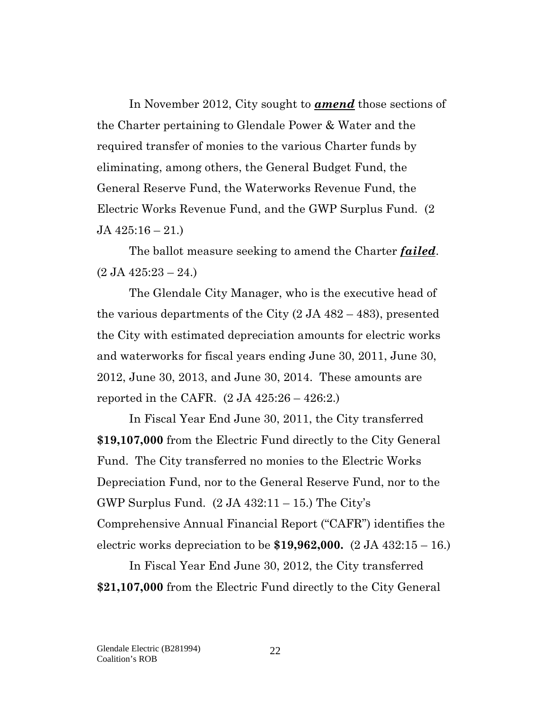In November 2012, City sought to *amend* those sections of the Charter pertaining to Glendale Power & Water and the required transfer of monies to the various Charter funds by eliminating, among others, the General Budget Fund, the General Reserve Fund, the Waterworks Revenue Fund, the Electric Works Revenue Fund, and the GWP Surplus Fund. (2 JA 425:16 – 21.)

The ballot measure seeking to amend the Charter *failed*.  $(2 \text{ JA } 425:23 - 24.)$ 

The Glendale City Manager, who is the executive head of the various departments of the City (2 JA 482 – 483), presented the City with estimated depreciation amounts for electric works and waterworks for fiscal years ending June 30, 2011, June 30, 2012, June 30, 2013, and June 30, 2014. These amounts are reported in the CAFR.  $(2 JA 425:26 - 426:2.)$ 

In Fiscal Year End June 30, 2011, the City transferred **\$19,107,000** from the Electric Fund directly to the City General Fund. The City transferred no monies to the Electric Works Depreciation Fund, nor to the General Reserve Fund, nor to the GWP Surplus Fund.  $(2 \text{ JA } 432:11 - 15)$  The City's Comprehensive Annual Financial Report ("CAFR") identifies the electric works depreciation to be **\$19,962,000.** (2 JA 432:15 – 16.)

In Fiscal Year End June 30, 2012, the City transferred **\$21,107,000** from the Electric Fund directly to the City General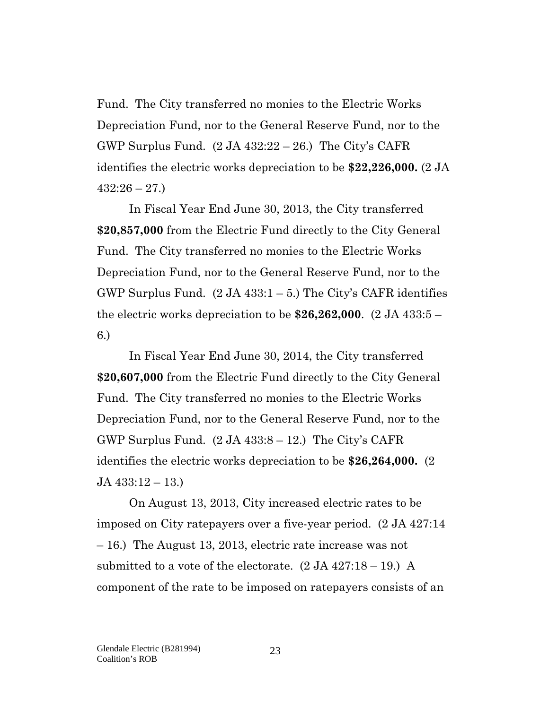Fund. The City transferred no monies to the Electric Works Depreciation Fund, nor to the General Reserve Fund, nor to the GWP Surplus Fund.  $(2 JA 432:22 - 26.)$  The City's CAFR identifies the electric works depreciation to be **\$22,226,000.** (2 JA  $432:26 - 27.$ 

In Fiscal Year End June 30, 2013, the City transferred **\$20,857,000** from the Electric Fund directly to the City General Fund. The City transferred no monies to the Electric Works Depreciation Fund, nor to the General Reserve Fund, nor to the GWP Surplus Fund.  $(2 JA 433:1-5.)$  The City's CAFR identifies the electric works depreciation to be **\$26,262,000**. (2 JA 433:5 – 6.)

In Fiscal Year End June 30, 2014, the City transferred **\$20,607,000** from the Electric Fund directly to the City General Fund. The City transferred no monies to the Electric Works Depreciation Fund, nor to the General Reserve Fund, nor to the GWP Surplus Fund.  $(2 JA 433:8 - 12.)$  The City's CAFR identifies the electric works depreciation to be **\$26,264,000.** (2 JA 433:12 – 13.)

On August 13, 2013, City increased electric rates to be imposed on City ratepayers over a five-year period. (2 JA 427:14 – 16.) The August 13, 2013, electric rate increase was not submitted to a vote of the electorate.  $(2 JA 427:18 - 19.)$  A component of the rate to be imposed on ratepayers consists of an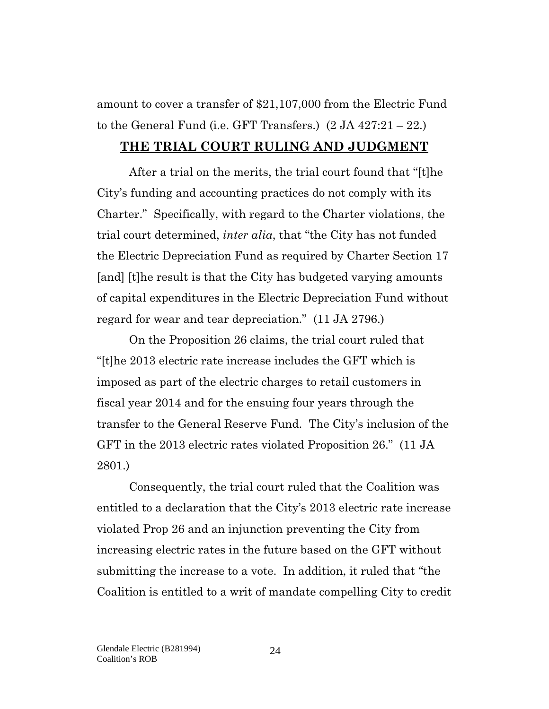amount to cover a transfer of \$21,107,000 from the Electric Fund to the General Fund (i.e. GFT Transfers.)  $(2 JA 427:21 - 22.)$ 

### <span id="page-23-0"></span>**THE TRIAL COURT RULING AND JUDGMENT**

After a trial on the merits, the trial court found that "[t]he City's funding and accounting practices do not comply with its Charter." Specifically, with regard to the Charter violations, the trial court determined, *inter alia*, that "the City has not funded the Electric Depreciation Fund as required by Charter Section 17 [and] [t]he result is that the City has budgeted varying amounts of capital expenditures in the Electric Depreciation Fund without regard for wear and tear depreciation." (11 JA 2796.)

On the Proposition 26 claims, the trial court ruled that "[t]he 2013 electric rate increase includes the GFT which is imposed as part of the electric charges to retail customers in fiscal year 2014 and for the ensuing four years through the transfer to the General Reserve Fund. The City's inclusion of the GFT in the 2013 electric rates violated Proposition 26." (11 JA 2801.)

Consequently, the trial court ruled that the Coalition was entitled to a declaration that the City's 2013 electric rate increase violated Prop 26 and an injunction preventing the City from increasing electric rates in the future based on the GFT without submitting the increase to a vote. In addition, it ruled that "the Coalition is entitled to a writ of mandate compelling City to credit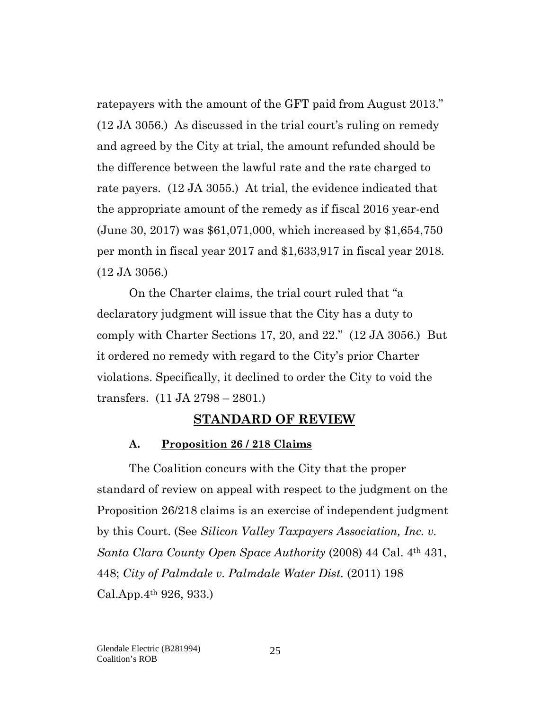ratepayers with the amount of the GFT paid from August 2013." (12 JA 3056.) As discussed in the trial court's ruling on remedy and agreed by the City at trial, the amount refunded should be the difference between the lawful rate and the rate charged to rate payers. (12 JA 3055.) At trial, the evidence indicated that the appropriate amount of the remedy as if fiscal 2016 year-end (June 30, 2017) was \$61,071,000, which increased by \$1,654,750 per month in fiscal year 2017 and \$1,633,917 in fiscal year 2018. (12 JA 3056.)

On the Charter claims, the trial court ruled that "a declaratory judgment will issue that the City has a duty to comply with Charter Sections 17, 20, and 22." (12 JA 3056.) But it ordered no remedy with regard to the City's prior Charter violations. Specifically, it declined to order the City to void the transfers. (11 JA 2798 – 2801.)

### **STANDARD OF REVIEW**

#### <span id="page-24-0"></span>**A. Proposition 26 / 218 Claims**

<span id="page-24-1"></span>The Coalition concurs with the City that the proper standard of review on appeal with respect to the judgment on the Proposition 26/218 claims is an exercise of independent judgment by this Court. (See *Silicon Valley Taxpayers Association, Inc. v. Santa Clara County Open Space Authority* (2008) 44 Cal. 4th 431, 448; *City of Palmdale v. Palmdale Water Dist.* (2011) 198 Cal.App.4th 926, 933.)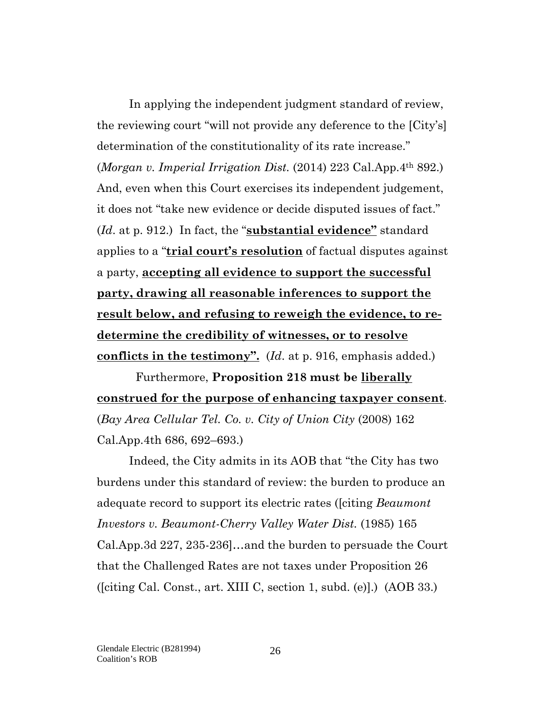In applying the independent judgment standard of review, the reviewing court "will not provide any deference to the [City's] determination of the constitutionality of its rate increase." (*Morgan v. Imperial Irrigation Dist.* (2014) 223 Cal.App.4th 892.) And, even when this Court exercises its independent judgement, it does not "take new evidence or decide disputed issues of fact." (*Id*. at p. 912.) In fact, the "**substantial evidence"** standard applies to a "**trial court's resolution** of factual disputes against a party, **accepting all evidence to support the successful party, drawing all reasonable inferences to support the result below, and refusing to reweigh the evidence, to redetermine the credibility of witnesses, or to resolve conflicts in the testimony".** (*Id*. at p. 916, emphasis added.)

 Furthermore, **Proposition 218 must be liberally construed for the purpose of enhancing taxpayer consent**. (*Bay Area Cellular Tel. Co. v. City of Union City* (2008) 162 Cal.App.4th 686, 692–693.)

Indeed, the City admits in its AOB that "the City has two burdens under this standard of review: the burden to produce an adequate record to support its electric rates ([citing *Beaumont Investors v. Beaumont-Cherry Valley Water Dist.* (1985) 165 Cal.App.3d 227, 235-236]…and the burden to persuade the Court that the Challenged Rates are not taxes under Proposition 26 ([citing Cal. Const., art. XIII C, section 1, subd. (e)].) (AOB 33.)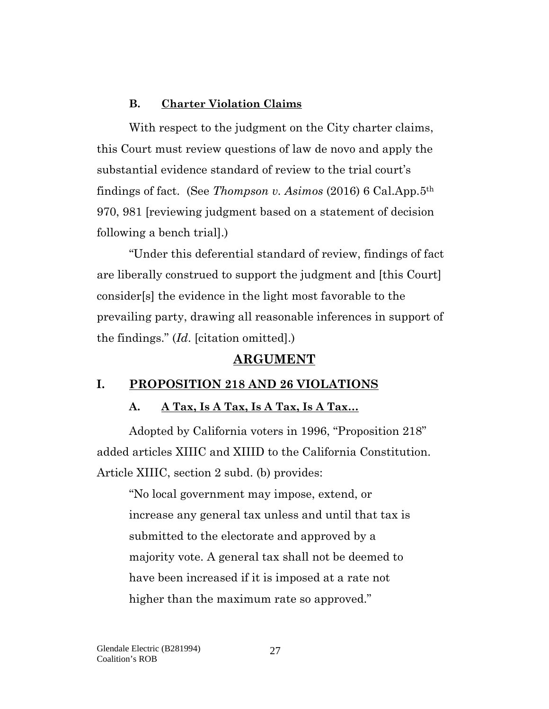### **B. Charter Violation Claims**

<span id="page-26-0"></span>With respect to the judgment on the City charter claims, this Court must review questions of law de novo and apply the substantial evidence standard of review to the trial court's findings of fact. (See *Thompson v. Asimos* (2016) 6 Cal.App.5th 970, 981 [reviewing judgment based on a statement of decision following a bench trial].)

"Under this deferential standard of review, findings of fact are liberally construed to support the judgment and [this Court] consider[s] the evidence in the light most favorable to the prevailing party, drawing all reasonable inferences in support of the findings." (*Id*. [citation omitted].)

### **ARGUMENT**

### <span id="page-26-2"></span><span id="page-26-1"></span>**I. PROPOSITION 218 AND 26 VIOLATIONS**

### **A. A Tax, Is A Tax, Is A Tax, Is A Tax…**

Adopted by California voters in 1996, "Proposition 218" added articles XIIIC and XIIID to the California Constitution. Article XIIIC, section 2 subd. (b) provides:

"No local government may impose, extend, or increase any general tax unless and until that tax is submitted to the electorate and approved by a majority vote. A general tax shall not be deemed to have been increased if it is imposed at a rate not higher than the maximum rate so approved."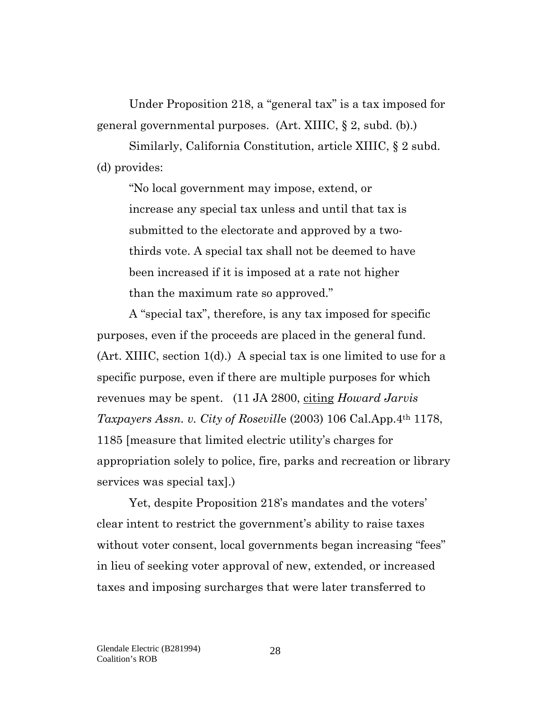Under Proposition 218, a "general tax" is a tax imposed for general governmental purposes. (Art. XIIIC, § 2, subd. (b).)

Similarly, California Constitution, article XIIIC, § 2 subd. (d) provides:

"No local government may impose, extend, or increase any special tax unless and until that tax is submitted to the electorate and approved by a twothirds vote. A special tax shall not be deemed to have been increased if it is imposed at a rate not higher than the maximum rate so approved."

A "special tax", therefore, is any tax imposed for specific purposes, even if the proceeds are placed in the general fund. (Art. XIIIC, section 1(d).) A special tax is one limited to use for a specific purpose, even if there are multiple purposes for which revenues may be spent. (11 JA 2800, citing *Howard Jarvis Taxpayers Assn. v. City of Rosevill*e (2003) 106 Cal.App.4th 1178, 1185 [measure that limited electric utility's charges for appropriation solely to police, fire, parks and recreation or library services was special tax].)

Yet, despite Proposition 218's mandates and the voters' clear intent to restrict the government's ability to raise taxes without voter consent, local governments began increasing "fees" in lieu of seeking voter approval of new, extended, or increased taxes and imposing surcharges that were later transferred to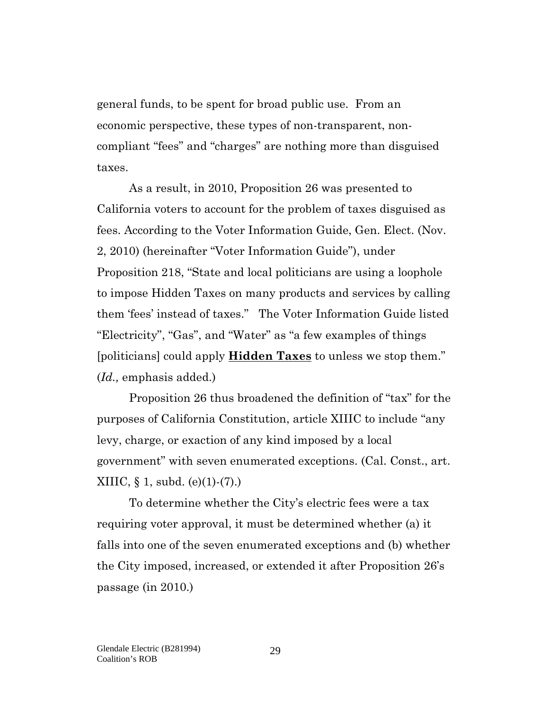general funds, to be spent for broad public use. From an economic perspective, these types of non-transparent, noncompliant "fees" and "charges" are nothing more than disguised taxes.

As a result, in 2010, Proposition 26 was presented to California voters to account for the problem of taxes disguised as fees. According to the Voter Information Guide, Gen. Elect. (Nov. 2, 2010) (hereinafter "Voter Information Guide"), under Proposition 218, "State and local politicians are using a loophole to impose Hidden Taxes on many products and services by calling them 'fees' instead of taxes." The Voter Information Guide listed "Electricity", "Gas", and "Water" as "a few examples of things [politicians] could apply **Hidden Taxes** to unless we stop them." (*Id.,* emphasis added.)

Proposition 26 thus broadened the definition of "tax" for the purposes of California Constitution, article XIIIC to include "any levy, charge, or exaction of any kind imposed by a local government" with seven enumerated exceptions. (Cal. Const., art. XIIIC,  $\S$  1, subd. (e)(1)-(7).)

To determine whether the City's electric fees were a tax requiring voter approval, it must be determined whether (a) it falls into one of the seven enumerated exceptions and (b) whether the City imposed, increased, or extended it after Proposition 26's passage (in 2010.)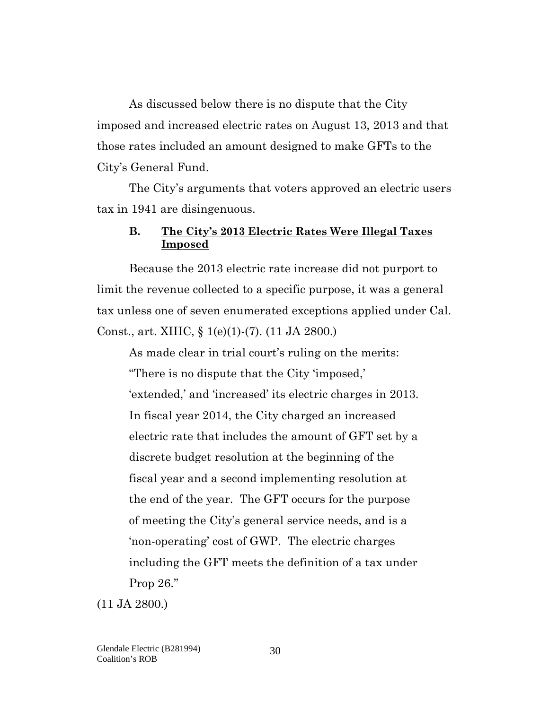As discussed below there is no dispute that the City imposed and increased electric rates on August 13, 2013 and that those rates included an amount designed to make GFTs to the City's General Fund.

The City's arguments that voters approved an electric users tax in 1941 are disingenuous.

#### <span id="page-29-0"></span>**B. The City's 2013 Electric Rates Were Illegal Taxes Imposed**

Because the 2013 electric rate increase did not purport to limit the revenue collected to a specific purpose, it was a general tax unless one of seven enumerated exceptions applied under Cal. Const., art. XIIIC, § 1(e)(1)-(7). (11 JA 2800.)

As made clear in trial court's ruling on the merits: "There is no dispute that the City 'imposed,' 'extended,' and 'increased' its electric charges in 2013. In fiscal year 2014, the City charged an increased electric rate that includes the amount of GFT set by a discrete budget resolution at the beginning of the fiscal year and a second implementing resolution at the end of the year. The GFT occurs for the purpose of meeting the City's general service needs, and is a 'non-operating' cost of GWP. The electric charges including the GFT meets the definition of a tax under Prop 26."

(11 JA 2800.)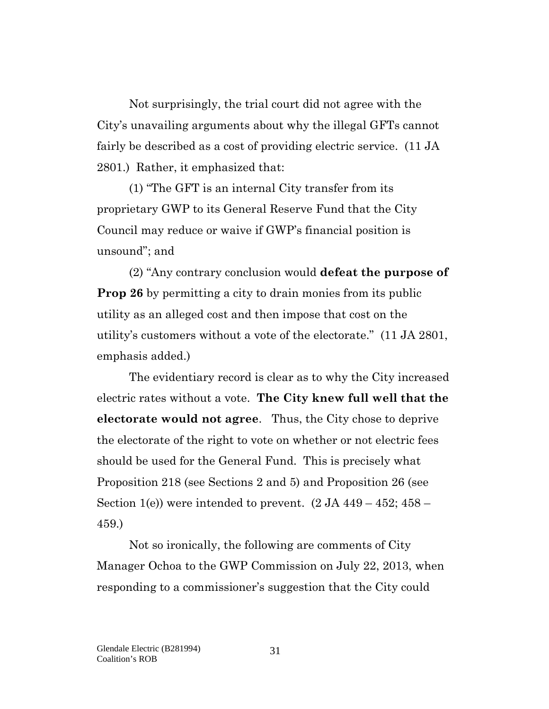Not surprisingly, the trial court did not agree with the City's unavailing arguments about why the illegal GFTs cannot fairly be described as a cost of providing electric service. (11 JA 2801.) Rather, it emphasized that:

(1) "The GFT is an internal City transfer from its proprietary GWP to its General Reserve Fund that the City Council may reduce or waive if GWP's financial position is unsound"; and

(2) "Any contrary conclusion would **defeat the purpose of Prop 26** by permitting a city to drain monies from its public utility as an alleged cost and then impose that cost on the utility's customers without a vote of the electorate." (11 JA 2801, emphasis added.)

The evidentiary record is clear as to why the City increased electric rates without a vote. **The City knew full well that the electorate would not agree**. Thus, the City chose to deprive the electorate of the right to vote on whether or not electric fees should be used for the General Fund. This is precisely what Proposition 218 (see Sections 2 and 5) and Proposition 26 (see Section 1(e)) were intended to prevent.  $(2 JA 449 - 452; 458 -$ 459.)

Not so ironically, the following are comments of City Manager Ochoa to the GWP Commission on July 22, 2013, when responding to a commissioner's suggestion that the City could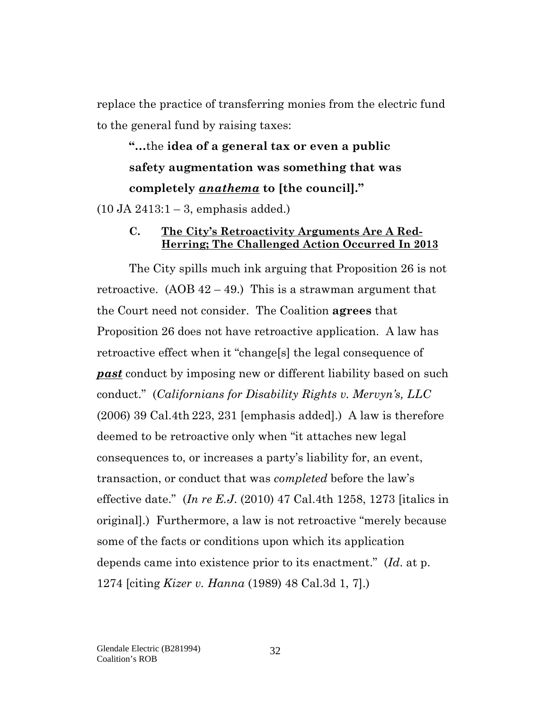replace the practice of transferring monies from the electric fund to the general fund by raising taxes:

**"…**the **idea of a general tax or even a public safety augmentation was something that was completely** *anathema* **to [the council]."**

<span id="page-31-0"></span> $(10$  JA  $2413:1 - 3$ , emphasis added.)

#### **C. The City's Retroactivity Arguments Are A Red-Herring; The Challenged Action Occurred In 2013**

The City spills much ink arguing that Proposition 26 is not retroactive.  $(AOB 42 - 49)$  This is a strawman argument that the Court need not consider. The Coalition **agrees** that Proposition 26 does not have retroactive application. A law has retroactive effect when it "change[s] the legal consequence of *past* conduct by imposing new or different liability based on such conduct." (*Californians for Disability Rights v. Mervyn's, LLC* (2006) 39 Cal.4th 223, 231 [emphasis added].) A law is therefore deemed to be retroactive only when "it attaches new legal consequences to, or increases a party's liability for, an event, transaction, or conduct that was *completed* before the law's effective date." (*In re E.J*. (2010) 47 Cal.4th 1258, 1273 [italics in original].) Furthermore, a law is not retroactive "merely because some of the facts or conditions upon which its application depends came into existence prior to its enactment." (*Id*. at p. 1274 [citing *Kizer v. Hanna* (1989) 48 Cal.3d 1, 7].)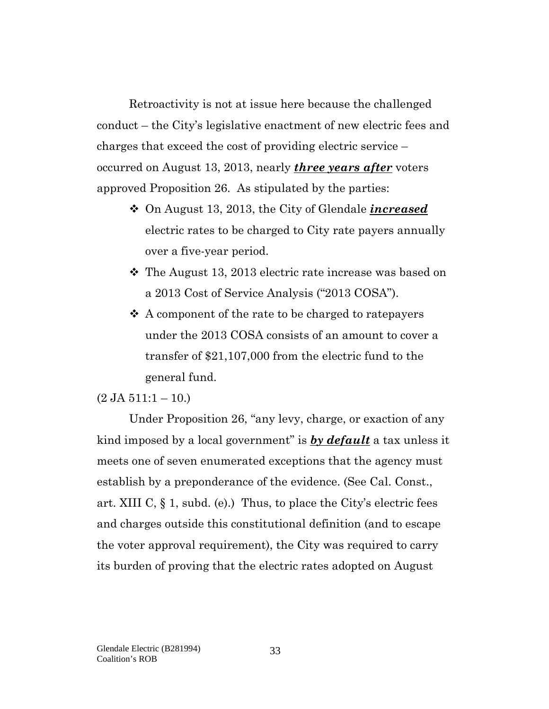Retroactivity is not at issue here because the challenged conduct – the City's legislative enactment of new electric fees and charges that exceed the cost of providing electric service – occurred on August 13, 2013, nearly *three years after* voters approved Proposition 26. As stipulated by the parties:

- On August 13, 2013, the City of Glendale *increased* electric rates to be charged to City rate payers annually over a five-year period.
- The August 13, 2013 electric rate increase was based on a 2013 Cost of Service Analysis ("2013 COSA").
- $\triangle$  A component of the rate to be charged to ratepayers under the 2013 COSA consists of an amount to cover a transfer of \$21,107,000 from the electric fund to the general fund.

#### $(2 \text{ JA } 511:1 - 10.)$

Under Proposition 26, "any levy, charge, or exaction of any kind imposed by a local government" is *by default* a tax unless it meets one of seven enumerated exceptions that the agency must establish by a preponderance of the evidence. (See Cal. Const., art. XIII C,  $\S$  1, subd. (e).) Thus, to place the City's electric fees and charges outside this constitutional definition (and to escape the voter approval requirement), the City was required to carry its burden of proving that the electric rates adopted on August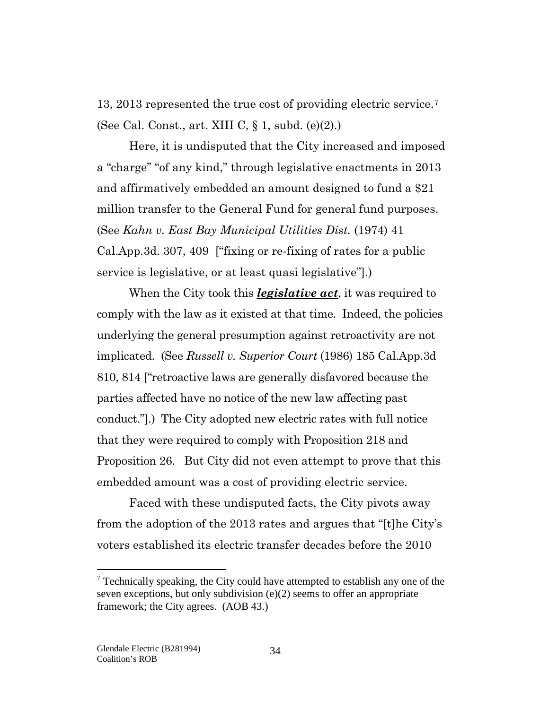13, 2013 represented the true cost of providing electric service.[7](#page-33-0) (See Cal. Const., art. XIII C, § 1, subd. (e)(2).)

Here, it is undisputed that the City increased and imposed a "charge" "of any kind," through legislative enactments in 2013 and affirmatively embedded an amount designed to fund a \$21 million transfer to the General Fund for general fund purposes. (See *Kahn v. East Bay Municipal Utilities Dist.* (1974) 41 Cal.App.3d. 307, 409 ["fixing or re-fixing of rates for a public service is legislative, or at least quasi legislative"].)

When the City took this *legislative act*, it was required to comply with the law as it existed at that time. Indeed, the policies underlying the general presumption against retroactivity are not implicated. (See *Russell v. Superior Court* (1986) 185 Cal.App.3d 810, 814 ["retroactive laws are generally disfavored because the parties affected have no notice of the new law affecting past conduct."].) The City adopted new electric rates with full notice that they were required to comply with Proposition 218 and Proposition 26. But City did not even attempt to prove that this embedded amount was a cost of providing electric service.

Faced with these undisputed facts, the City pivots away from the adoption of the 2013 rates and argues that "[t]he City's voters established its electric transfer decades before the 2010

 $\overline{a}$ 

<span id="page-33-0"></span> $7$  Technically speaking, the City could have attempted to establish any one of the seven exceptions, but only subdivision (e)(2) seems to offer an appropriate framework; the City agrees. (AOB 43.)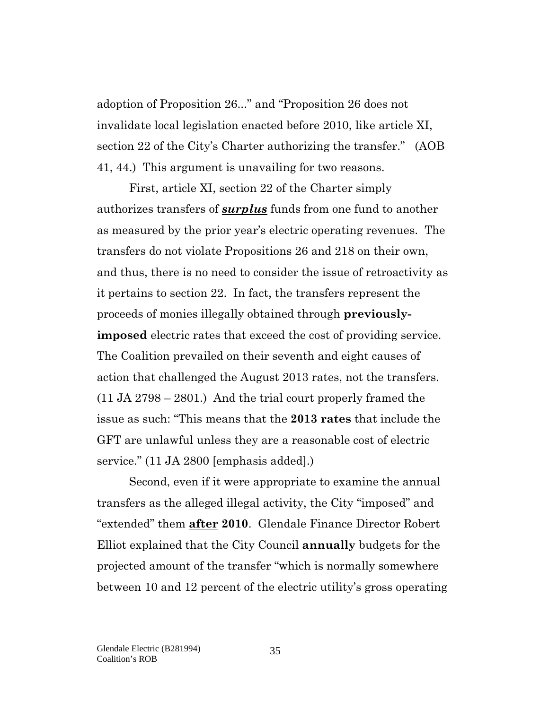adoption of Proposition 26..." and "Proposition 26 does not invalidate local legislation enacted before 2010, like article XI, section 22 of the City's Charter authorizing the transfer." (AOB 41, 44.) This argument is unavailing for two reasons.

First, article XI, section 22 of the Charter simply authorizes transfers of *surplus* funds from one fund to another as measured by the prior year's electric operating revenues. The transfers do not violate Propositions 26 and 218 on their own, and thus, there is no need to consider the issue of retroactivity as it pertains to section 22. In fact, the transfers represent the proceeds of monies illegally obtained through **previouslyimposed** electric rates that exceed the cost of providing service. The Coalition prevailed on their seventh and eight causes of action that challenged the August 2013 rates, not the transfers. (11 JA 2798 – 2801.) And the trial court properly framed the issue as such: "This means that the **2013 rates** that include the GFT are unlawful unless they are a reasonable cost of electric service." (11 JA 2800 [emphasis added].)

Second, even if it were appropriate to examine the annual transfers as the alleged illegal activity, the City "imposed" and "extended" them **after 2010**. Glendale Finance Director Robert Elliot explained that the City Council **annually** budgets for the projected amount of the transfer "which is normally somewhere between 10 and 12 percent of the electric utility's gross operating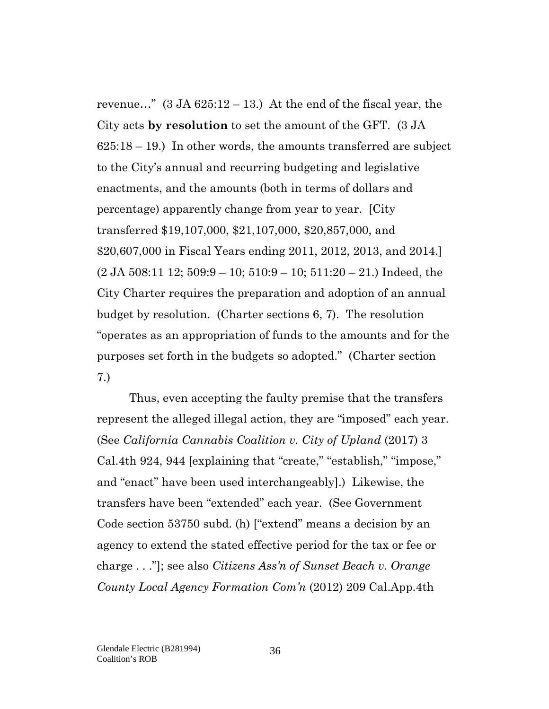revenue..."  $(3 \text{ JA } 625:12 - 13)$  At the end of the fiscal year, the City acts **by resolution** to set the amount of the GFT. (3 JA 625:18 – 19.) In other words, the amounts transferred are subject to the City's annual and recurring budgeting and legislative enactments, and the amounts (both in terms of dollars and percentage) apparently change from year to year. [City transferred \$19,107,000, \$21,107,000, \$20,857,000, and \$20,607,000 in Fiscal Years ending 2011, 2012, 2013, and 2014.]  $(2 \text{ JA } 508:11 \text{ 12}; 509:9-10; 510:9-10; 511:20-21.)$  Indeed, the City Charter requires the preparation and adoption of an annual budget by resolution. (Charter sections 6, 7). The resolution "operates as an appropriation of funds to the amounts and for the purposes set forth in the budgets so adopted." (Charter section 7.)

Thus, even accepting the faulty premise that the transfers represent the alleged illegal action, they are "imposed" each year. (See *California Cannabis Coalition v. City of Upland* (2017) 3 Cal.4th 924, 944 [explaining that "create," "establish," "impose," and "enact" have been used interchangeably].) Likewise, the transfers have been "extended" each year. (See Government Code section 53750 subd. (h) ["extend" means a decision by an agency to extend the stated effective period for the tax or fee or charge . . ."]; see also *Citizens Ass'n of Sunset Beach v. Orange County Local Agency Formation Com'n* (2012) 209 Cal.App.4th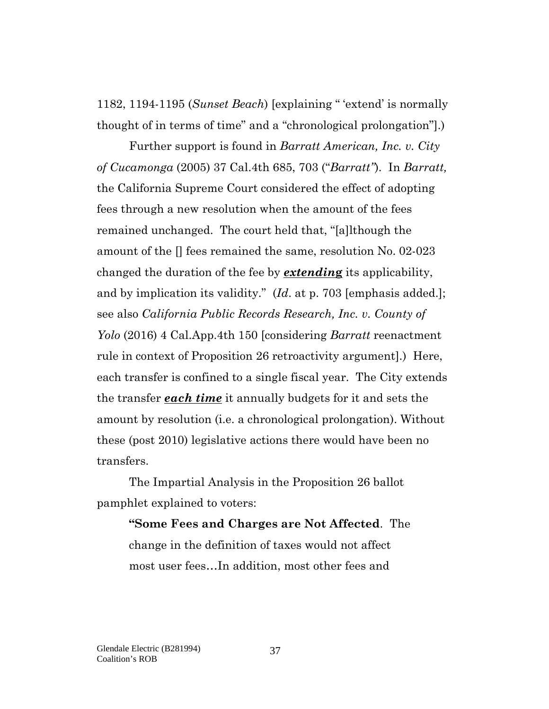1182, 1194-1195 (*Sunset Beach*) [explaining " 'extend' is normally thought of in terms of time" and a "chronological prolongation"].)

Further support is found in *Barratt American, Inc. v. City of Cucamonga* (2005) 37 Cal.4th 685, 703 ("*Barratt"*). In *Barratt,* the California Supreme Court considered the effect of adopting fees through a new resolution when the amount of the fees remained unchanged. The court held that, "[a]lthough the amount of the [] fees remained the same, resolution No. 02-023 changed the duration of the fee by *extendin***g** its applicability, and by implication its validity." (*Id*. at p. 703 [emphasis added.]; see also *California Public Records Research, Inc. v. County of Yolo* (2016) 4 Cal.App.4th 150 [considering *Barratt* reenactment rule in context of Proposition 26 retroactivity argument].) Here, each transfer is confined to a single fiscal year. The City extends the transfer *each time* it annually budgets for it and sets the amount by resolution (i.e. a chronological prolongation). Without these (post 2010) legislative actions there would have been no transfers.

The Impartial Analysis in the Proposition 26 ballot pamphlet explained to voters:

**"Some Fees and Charges are Not Affected**. The change in the definition of taxes would not affect most user fees…In addition, most other fees and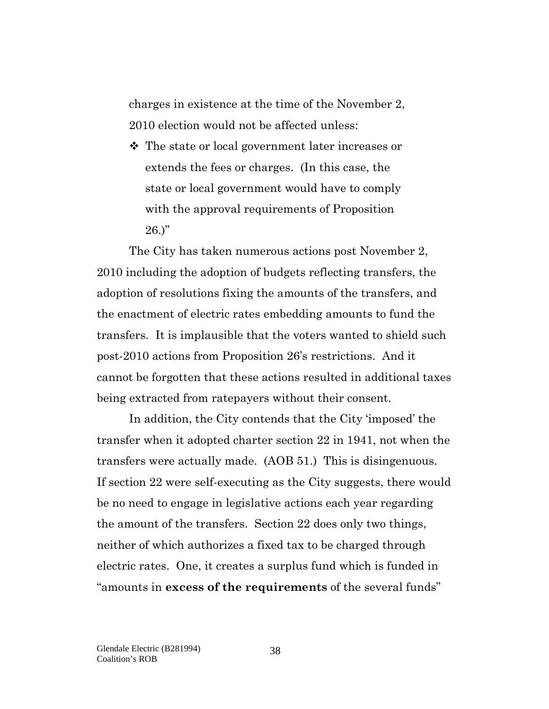charges in existence at the time of the November 2, 2010 election would not be affected unless:

 The state or local government later increases or extends the fees or charges. (In this case, the state or local government would have to comply with the approval requirements of Proposition  $26.$ "

The City has taken numerous actions post November 2, 2010 including the adoption of budgets reflecting transfers, the adoption of resolutions fixing the amounts of the transfers, and the enactment of electric rates embedding amounts to fund the transfers. It is implausible that the voters wanted to shield such post-2010 actions from Proposition 26's restrictions. And it cannot be forgotten that these actions resulted in additional taxes being extracted from ratepayers without their consent.

In addition, the City contends that the City 'imposed' the transfer when it adopted charter section 22 in 1941, not when the transfers were actually made. (AOB 51.) This is disingenuous. If section 22 were self-executing as the City suggests, there would be no need to engage in legislative actions each year regarding the amount of the transfers. Section 22 does only two things, neither of which authorizes a fixed tax to be charged through electric rates. One, it creates a surplus fund which is funded in "amounts in **excess of the requirements** of the several funds"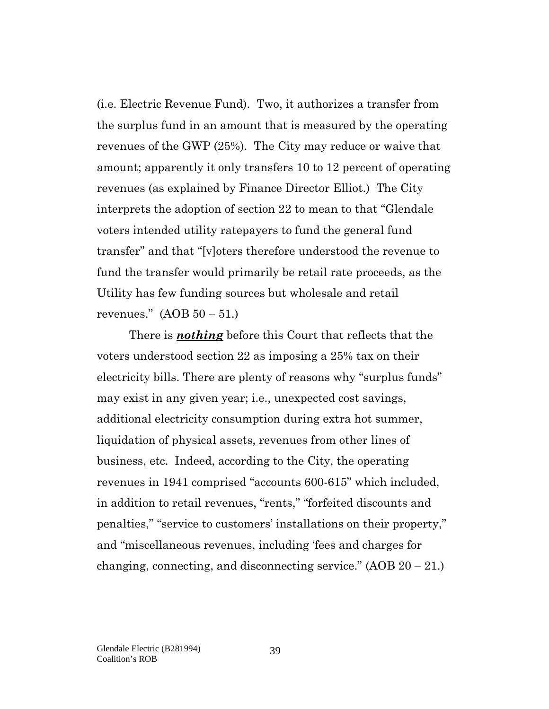(i.e. Electric Revenue Fund). Two, it authorizes a transfer from the surplus fund in an amount that is measured by the operating revenues of the GWP (25%). The City may reduce or waive that amount; apparently it only transfers 10 to 12 percent of operating revenues (as explained by Finance Director Elliot.) The City interprets the adoption of section 22 to mean to that "Glendale voters intended utility ratepayers to fund the general fund transfer" and that "[v]oters therefore understood the revenue to fund the transfer would primarily be retail rate proceeds, as the Utility has few funding sources but wholesale and retail revenues."  $(AOB 50 - 51.)$ 

There is *nothing* before this Court that reflects that the voters understood section 22 as imposing a 25% tax on their electricity bills. There are plenty of reasons why "surplus funds" may exist in any given year; i.e., unexpected cost savings, additional electricity consumption during extra hot summer, liquidation of physical assets, revenues from other lines of business, etc. Indeed, according to the City, the operating revenues in 1941 comprised "accounts 600-615" which included, in addition to retail revenues, "rents," "forfeited discounts and penalties," "service to customers' installations on their property," and "miscellaneous revenues, including 'fees and charges for changing, connecting, and disconnecting service."  $(AOB 20 - 21)$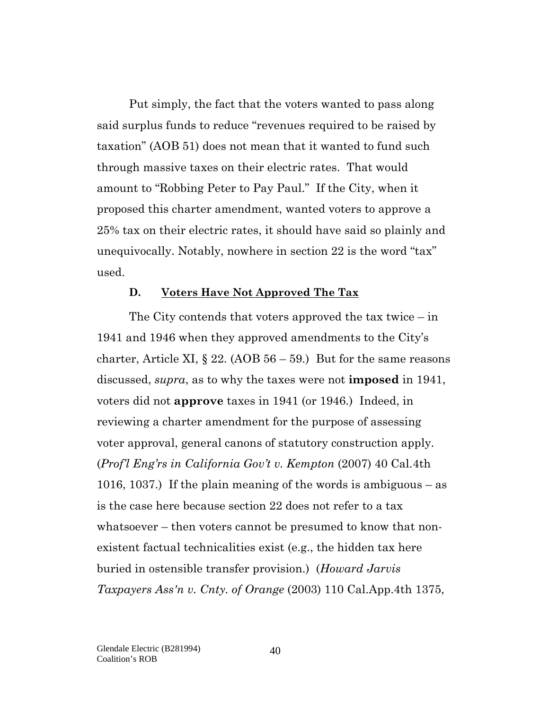Put simply, the fact that the voters wanted to pass along said surplus funds to reduce "revenues required to be raised by taxation" (AOB 51) does not mean that it wanted to fund such through massive taxes on their electric rates. That would amount to "Robbing Peter to Pay Paul." If the City, when it proposed this charter amendment, wanted voters to approve a 25% tax on their electric rates, it should have said so plainly and unequivocally. Notably, nowhere in section 22 is the word "tax" used.

#### **D. Voters Have Not Approved The Tax**

The City contends that voters approved the tax twice – in 1941 and 1946 when they approved amendments to the City's charter, Article XI,  $\S 22$ . (AOB  $56 - 59$ .) But for the same reasons discussed, *supra*, as to why the taxes were not **imposed** in 1941, voters did not **approve** taxes in 1941 (or 1946.) Indeed, in reviewing a charter amendment for the purpose of assessing voter approval, general canons of statutory construction apply. (*Prof'l Eng'rs in California Gov't v. Kempton* (2007) 40 Cal.4th 1016, 1037.) If the plain meaning of the words is ambiguous – as is the case here because section 22 does not refer to a tax whatsoever – then voters cannot be presumed to know that nonexistent factual technicalities exist (e.g., the hidden tax here buried in ostensible transfer provision.) (*Howard Jarvis Taxpayers Ass'n v. Cnty. of Orange* (2003) 110 Cal.App.4th 1375,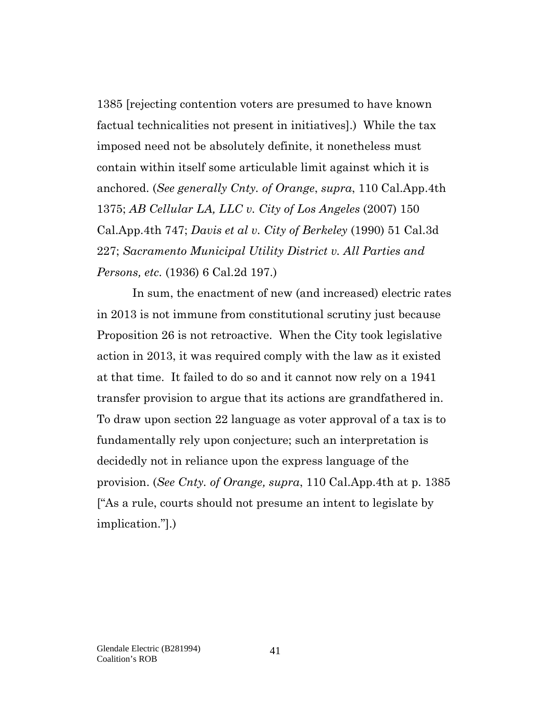1385 [rejecting contention voters are presumed to have known factual technicalities not present in initiatives].) While the tax imposed need not be absolutely definite, it nonetheless must contain within itself some articulable limit against which it is anchored. (*See generally Cnty. of Orange*, *supra*, 110 Cal.App.4th 1375; *AB Cellular LA, LLC v. City of Los Angeles* (2007) 150 Cal.App.4th 747; *Davis et al v. City of Berkeley* (1990) 51 Cal.3d 227; *Sacramento Municipal Utility District v. All Parties and Persons, etc.* (1936) 6 Cal.2d 197.)

In sum, the enactment of new (and increased) electric rates in 2013 is not immune from constitutional scrutiny just because Proposition 26 is not retroactive. When the City took legislative action in 2013, it was required comply with the law as it existed at that time. It failed to do so and it cannot now rely on a 1941 transfer provision to argue that its actions are grandfathered in. To draw upon section 22 language as voter approval of a tax is to fundamentally rely upon conjecture; such an interpretation is decidedly not in reliance upon the express language of the provision. (*See Cnty. of Orange, supra*, 110 Cal.App.4th at p. 1385 ["As a rule, courts should not presume an intent to legislate by implication."].)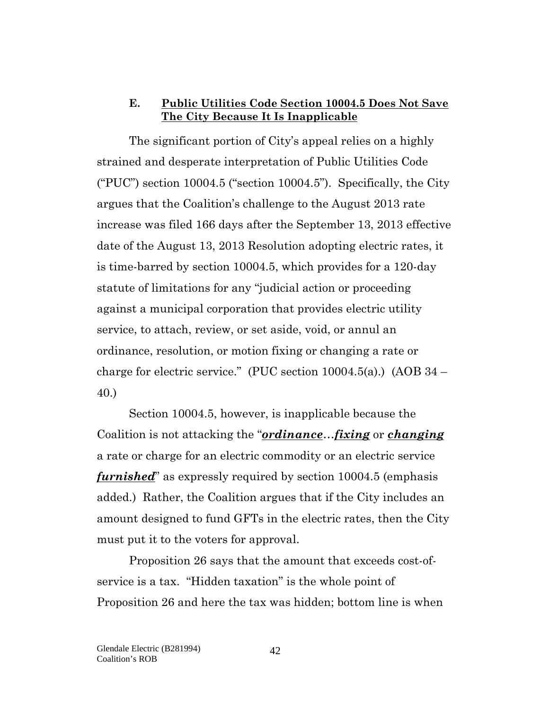#### **E. Public Utilities Code Section 10004.5 Does Not Save The City Because It Is Inapplicable**

The significant portion of City's appeal relies on a highly strained and desperate interpretation of Public Utilities Code ("PUC") section  $10004.5$  ("section  $10004.5$ "). Specifically, the City argues that the Coalition's challenge to the August 2013 rate increase was filed 166 days after the September 13, 2013 effective date of the August 13, 2013 Resolution adopting electric rates, it is time-barred by section 10004.5, which provides for a 120-day statute of limitations for any "judicial action or proceeding against a municipal corporation that provides electric utility service, to attach, review, or set aside, void, or annul an ordinance, resolution, or motion fixing or changing a rate or charge for electric service." (PUC section  $10004.5(a)$ .) (AOB  $34$  – 40.)

Section 10004.5, however, is inapplicable because the Coalition is not attacking the "*ordinance*…*fixing* or *changing* a rate or charge for an electric commodity or an electric service *furnished*" as expressly required by section 10004.5 (emphasis added.) Rather, the Coalition argues that if the City includes an amount designed to fund GFTs in the electric rates, then the City must put it to the voters for approval.

Proposition 26 says that the amount that exceeds cost-ofservice is a tax. "Hidden taxation" is the whole point of Proposition 26 and here the tax was hidden; bottom line is when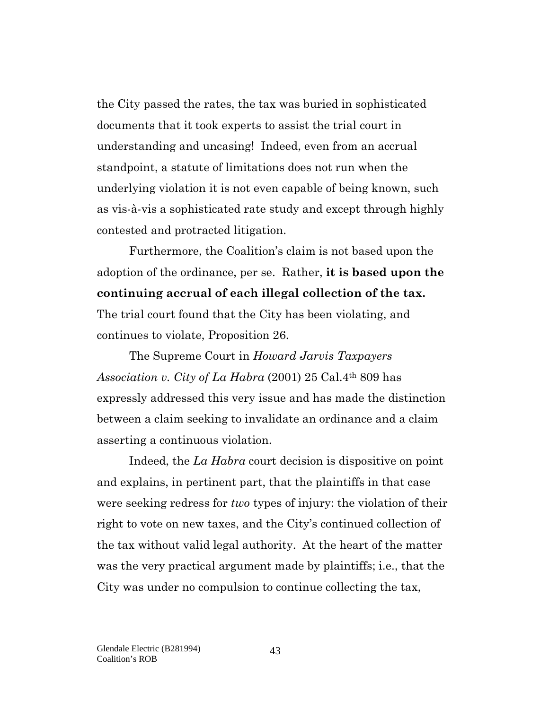the City passed the rates, the tax was buried in sophisticated documents that it took experts to assist the trial court in understanding and uncasing! Indeed, even from an accrual standpoint, a statute of limitations does not run when the underlying violation it is not even capable of being known, such as vis-à-vis a sophisticated rate study and except through highly contested and protracted litigation.

Furthermore, the Coalition's claim is not based upon the adoption of the ordinance, per se. Rather, **it is based upon the continuing accrual of each illegal collection of the tax.** The trial court found that the City has been violating, and continues to violate, Proposition 26.

The Supreme Court in *Howard Jarvis Taxpayers Association v. City of La Habra* (2001) 25 Cal.4th 809 has expressly addressed this very issue and has made the distinction between a claim seeking to invalidate an ordinance and a claim asserting a continuous violation.

Indeed, the *La Habra* court decision is dispositive on point and explains, in pertinent part, that the plaintiffs in that case were seeking redress for *two* types of injury: the violation of their right to vote on new taxes, and the City's continued collection of the tax without valid legal authority. At the heart of the matter was the very practical argument made by plaintiffs; i.e., that the City was under no compulsion to continue collecting the tax,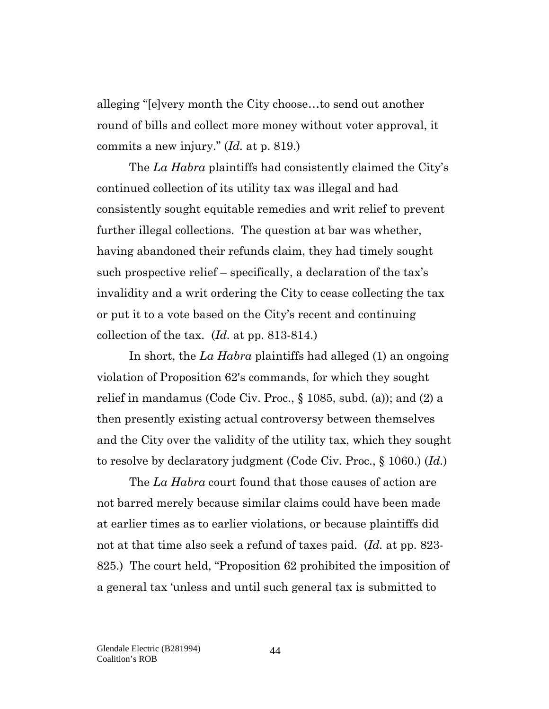alleging "[e]very month the City choose…to send out another round of bills and collect more money without voter approval, it commits a new injury." (*Id.* at p. 819.)

The *La Habra* plaintiffs had consistently claimed the City's continued collection of its utility tax was illegal and had consistently sought equitable remedies and writ relief to prevent further illegal collections. The question at bar was whether, having abandoned their refunds claim, they had timely sought such prospective relief – specifically, a declaration of the tax's invalidity and a writ ordering the City to cease collecting the tax or put it to a vote based on the City's recent and continuing collection of the tax. (*Id.* at pp. 813-814.)

In short, the *La Habra* plaintiffs had alleged (1) an ongoing violation of Proposition 62's commands, for which they sought relief in mandamus (Code Civ. Proc., § 1085, subd. (a)); and (2) a then presently existing actual controversy between themselves and the City over the validity of the utility tax, which they sought to resolve by declaratory judgment (Code Civ. Proc., § 1060.) (*Id.*)

The *La Habra* court found that those causes of action are not barred merely because similar claims could have been made at earlier times as to earlier violations, or because plaintiffs did not at that time also seek a refund of taxes paid. (*Id.* at pp. 823- 825.) The court held, "Proposition 62 prohibited the imposition of a general tax 'unless and until such general tax is submitted to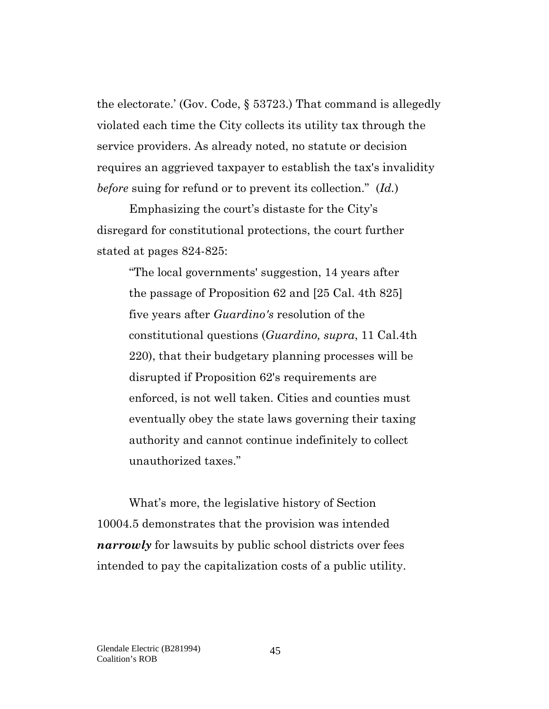the electorate.' (Gov. Code, § 53723.) That command is allegedly violated each time the City collects its utility tax through the service providers. As already noted, no statute or decision requires an aggrieved taxpayer to establish the tax's invalidity *before* suing for refund or to prevent its collection." (*Id.*)

Emphasizing the court's distaste for the City's disregard for constitutional protections, the court further stated at pages 824-825:

"The local governments' suggestion, 14 years after the passage of Proposition 62 and [25 Cal. 4th 825] five years after *Guardino's* resolution of the constitutional questions (*Guardino, supra*, 11 Cal.4th 220), that their budgetary planning processes will be disrupted if Proposition 62's requirements are enforced, is not well taken. Cities and counties must eventually obey the state laws governing their taxing authority and cannot continue indefinitely to collect unauthorized taxes."

What's more, the legislative history of Section 10004.5 demonstrates that the provision was intended *narrowly* for lawsuits by public school districts over fees intended to pay the capitalization costs of a public utility.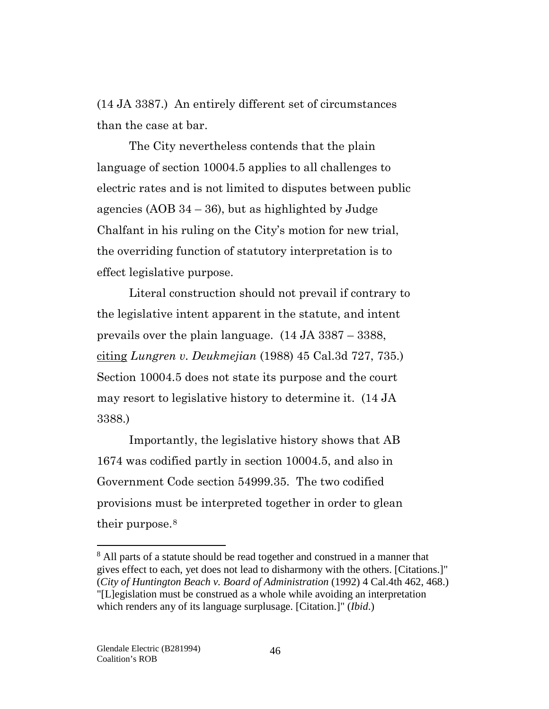(14 JA 3387.) An entirely different set of circumstances than the case at bar.

The City nevertheless contends that the plain language of section 10004.5 applies to all challenges to electric rates and is not limited to disputes between public agencies  $(AOB 34 – 36)$ , but as highlighted by Judge Chalfant in his ruling on the City's motion for new trial, the overriding function of statutory interpretation is to effect legislative purpose.

Literal construction should not prevail if contrary to the legislative intent apparent in the statute, and intent prevails over the plain language. (14 JA 3387 – 3388, citing *Lungren v. Deukmejian* (1988) 45 Cal.3d 727, 735.) Section 10004.5 does not state its purpose and the court may resort to legislative history to determine it. (14 JA 3388.)

Importantly, the legislative history shows that AB 1674 was codified partly in section 10004.5, and also in Government Code section 54999.35. The two codified provisions must be interpreted together in order to glean their purpose.<sup>[8](#page-45-0)</sup>

 $\overline{a}$ 

<span id="page-45-0"></span><sup>&</sup>lt;sup>8</sup> All parts of a statute should be read together and construed in a manner that gives effect to each, yet does not lead to disharmony with the others. [Citations.]" (*City of Huntington Beach v. Board of Administration* (1992) 4 Cal.4th 462, 468.) "[L]egislation must be construed as a whole while avoiding an interpretation which renders any of its language surplusage. [Citation.]" (*Ibid*.)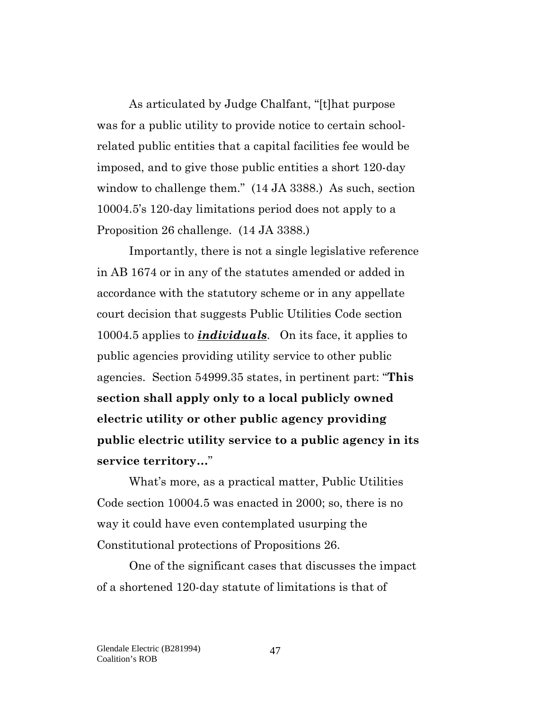As articulated by Judge Chalfant, "[t]hat purpose was for a public utility to provide notice to certain schoolrelated public entities that a capital facilities fee would be imposed, and to give those public entities a short 120-day window to challenge them." (14 JA 3388.) As such, section 10004.5's 120-day limitations period does not apply to a Proposition 26 challenge. (14 JA 3388.)

Importantly, there is not a single legislative reference in AB 1674 or in any of the statutes amended or added in accordance with the statutory scheme or in any appellate court decision that suggests Public Utilities Code section 10004.5 applies to *individuals*. On its face, it applies to public agencies providing utility service to other public agencies. Section 54999.35 states, in pertinent part: "**This section shall apply only to a local publicly owned electric utility or other public agency providing public electric utility service to a public agency in its service territory…**"

What's more, as a practical matter, Public Utilities Code section 10004.5 was enacted in 2000; so, there is no way it could have even contemplated usurping the Constitutional protections of Propositions 26.

One of the significant cases that discusses the impact of a shortened 120-day statute of limitations is that of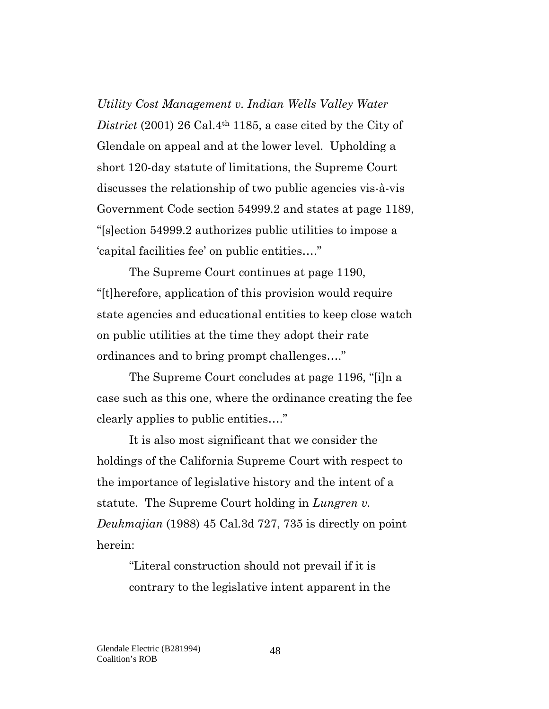*Utility Cost Management v. Indian Wells Valley Water District* (2001) 26 Cal.4th 1185, a case cited by the City of Glendale on appeal and at the lower level. Upholding a short 120-day statute of limitations, the Supreme Court discusses the relationship of two public agencies vis-à-vis Government Code section 54999.2 and states at page 1189, "[s]ection 54999.2 authorizes public utilities to impose a 'capital facilities fee' on public entities…."

The Supreme Court continues at page 1190, "[t]herefore, application of this provision would require state agencies and educational entities to keep close watch on public utilities at the time they adopt their rate ordinances and to bring prompt challenges…."

The Supreme Court concludes at page 1196, "[i]n a case such as this one, where the ordinance creating the fee clearly applies to public entities…."

It is also most significant that we consider the holdings of the California Supreme Court with respect to the importance of legislative history and the intent of a statute. The Supreme Court holding in *Lungren v. Deukmajian* (1988) 45 Cal.3d 727, 735 is directly on point herein:

> "Literal construction should not prevail if it is contrary to the legislative intent apparent in the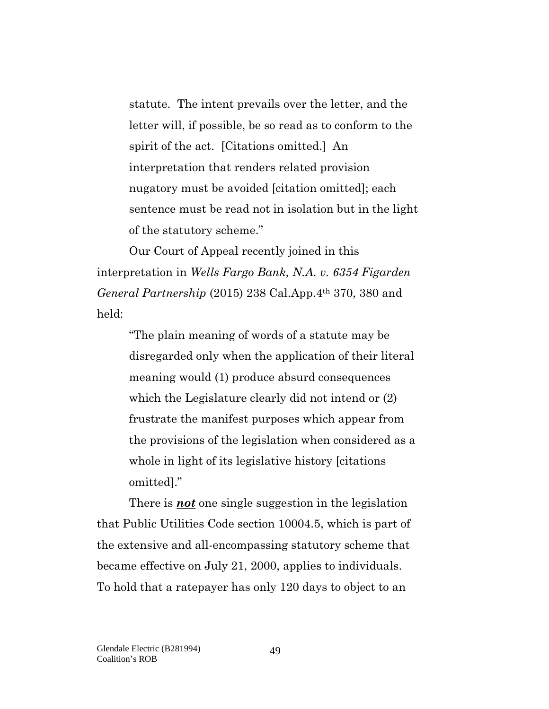statute. The intent prevails over the letter, and the letter will, if possible, be so read as to conform to the spirit of the act. [Citations omitted.] An interpretation that renders related provision nugatory must be avoided [citation omitted]; each sentence must be read not in isolation but in the light of the statutory scheme."

Our Court of Appeal recently joined in this interpretation in *Wells Fargo Bank, N.A. v. 6354 Figarden General Partnership* (2015) 238 Cal.App.4th 370, 380 and held:

> "The plain meaning of words of a statute may be disregarded only when the application of their literal meaning would (1) produce absurd consequences which the Legislature clearly did not intend or (2) frustrate the manifest purposes which appear from the provisions of the legislation when considered as a whole in light of its legislative history [citations omitted]."

There is *not* one single suggestion in the legislation that Public Utilities Code section 10004.5, which is part of the extensive and all-encompassing statutory scheme that became effective on July 21, 2000, applies to individuals. To hold that a ratepayer has only 120 days to object to an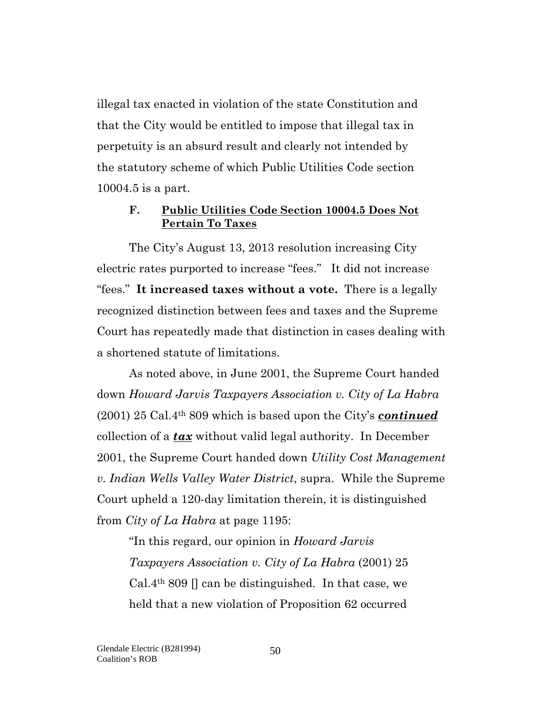illegal tax enacted in violation of the state Constitution and that the City would be entitled to impose that illegal tax in perpetuity is an absurd result and clearly not intended by the statutory scheme of which Public Utilities Code section 10004.5 is a part.

#### **F. Public Utilities Code Section 10004.5 Does Not Pertain To Taxes**

The City's August 13, 2013 resolution increasing City electric rates purported to increase "fees." It did not increase "fees." **It increased taxes without a vote.** There is a legally recognized distinction between fees and taxes and the Supreme Court has repeatedly made that distinction in cases dealing with a shortened statute of limitations.

As noted above, in June 2001, the Supreme Court handed down *Howard Jarvis Taxpayers Association v. City of La Habra* (2001) 25 Cal.4th 809 which is based upon the City's *continued* collection of a *tax* without valid legal authority. In December 2001, the Supreme Court handed down *Utility Cost Management v. Indian Wells Valley Water District*, supra. While the Supreme Court upheld a 120-day limitation therein, it is distinguished from *City of La Habra* at page 1195:

"In this regard, our opinion in *Howard Jarvis Taxpayers Association v. City of La Habra* (2001) 25 Cal.4<sup>th</sup> 809 [] can be distinguished. In that case, we held that a new violation of Proposition 62 occurred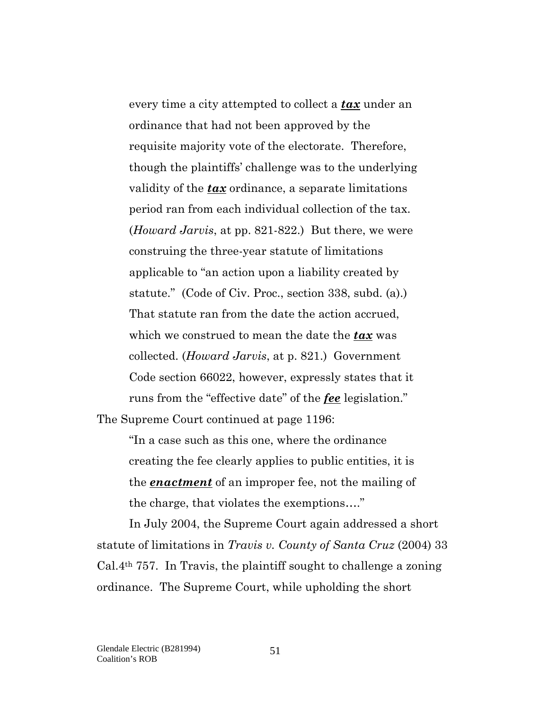every time a city attempted to collect a *tax* under an ordinance that had not been approved by the requisite majority vote of the electorate. Therefore, though the plaintiffs' challenge was to the underlying validity of the *tax* ordinance, a separate limitations period ran from each individual collection of the tax. (*Howard Jarvis*, at pp. 821-822.) But there, we were construing the three-year statute of limitations applicable to "an action upon a liability created by statute." (Code of Civ. Proc., section 338, subd. (a).) That statute ran from the date the action accrued, which we construed to mean the date the *tax* was collected. (*Howard Jarvis*, at p. 821.) Government Code section 66022, however, expressly states that it runs from the "effective date" of the *fee* legislation."

The Supreme Court continued at page 1196:

"In a case such as this one, where the ordinance creating the fee clearly applies to public entities, it is the *enactment* of an improper fee, not the mailing of the charge, that violates the exemptions…."

In July 2004, the Supreme Court again addressed a short statute of limitations in *Travis v. County of Santa Cruz* (2004) 33  $Cal.4<sup>th</sup> 757$ . In Travis, the plaintiff sought to challenge a zoning ordinance. The Supreme Court, while upholding the short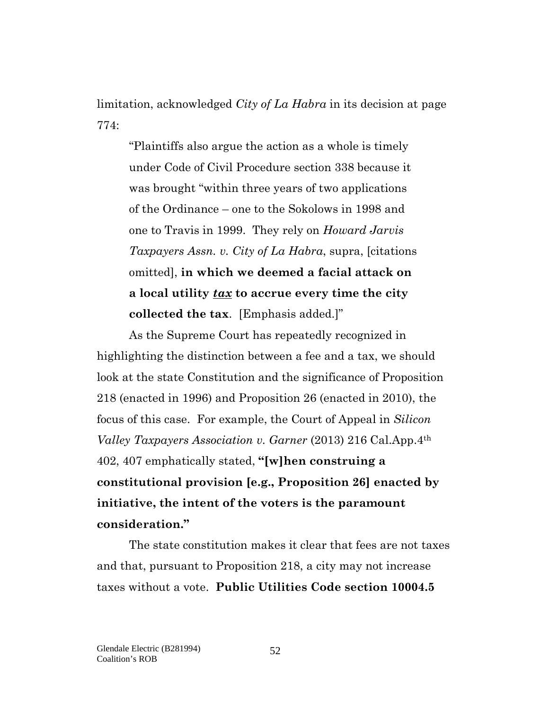limitation, acknowledged *City of La Habra* in its decision at page 774:

"Plaintiffs also argue the action as a whole is timely under Code of Civil Procedure section 338 because it was brought "within three years of two applications of the Ordinance – one to the Sokolows in 1998 and one to Travis in 1999. They rely on *Howard Jarvis Taxpayers Assn. v. City of La Habra*, supra, [citations omitted], **in which we deemed a facial attack on a local utility** *tax* **to accrue every time the city collected the tax**. [Emphasis added.]"

As the Supreme Court has repeatedly recognized in highlighting the distinction between a fee and a tax, we should look at the state Constitution and the significance of Proposition 218 (enacted in 1996) and Proposition 26 (enacted in 2010), the focus of this case. For example, the Court of Appeal in *Silicon Valley Taxpayers Association v. Garner* (2013) 216 Cal.App.4th 402, 407 emphatically stated, **"[w]hen construing a constitutional provision [e.g., Proposition 26] enacted by initiative, the intent of the voters is the paramount consideration."**

The state constitution makes it clear that fees are not taxes and that, pursuant to Proposition 218, a city may not increase taxes without a vote. **Public Utilities Code section 10004.5**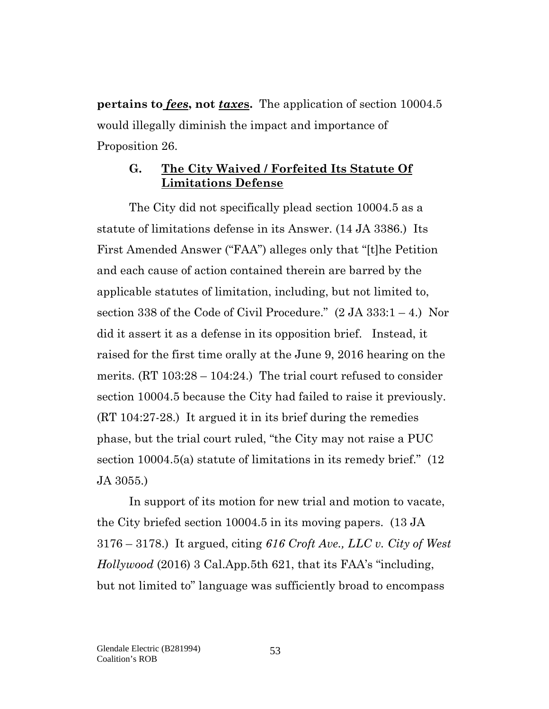**pertains to** *fees***, not** *taxe***s.** The application of section 10004.5 would illegally diminish the impact and importance of Proposition 26.

#### **G. The City Waived / Forfeited Its Statute Of Limitations Defense**

The City did not specifically plead section 10004.5 as a statute of limitations defense in its Answer. (14 JA 3386.) Its First Amended Answer ("FAA") alleges only that "[t]he Petition and each cause of action contained therein are barred by the applicable statutes of limitation, including, but not limited to, section 338 of the Code of Civil Procedure."  $(2 JA 333:1 - 4.)$  Nor did it assert it as a defense in its opposition brief. Instead, it raised for the first time orally at the June 9, 2016 hearing on the merits.  $(RT 103:28 - 104:24)$  The trial court refused to consider section 10004.5 because the City had failed to raise it previously. (RT 104:27-28.) It argued it in its brief during the remedies phase, but the trial court ruled, "the City may not raise a PUC section 10004.5(a) statute of limitations in its remedy brief." (12 JA 3055.)

In support of its motion for new trial and motion to vacate, the City briefed section 10004.5 in its moving papers. (13 JA 3176 – 3178.) It argued, citing *616 Croft Ave., LLC v. City of West Hollywood* (2016) 3 Cal.App.5th 621, that its FAA's "including, but not limited to" language was sufficiently broad to encompass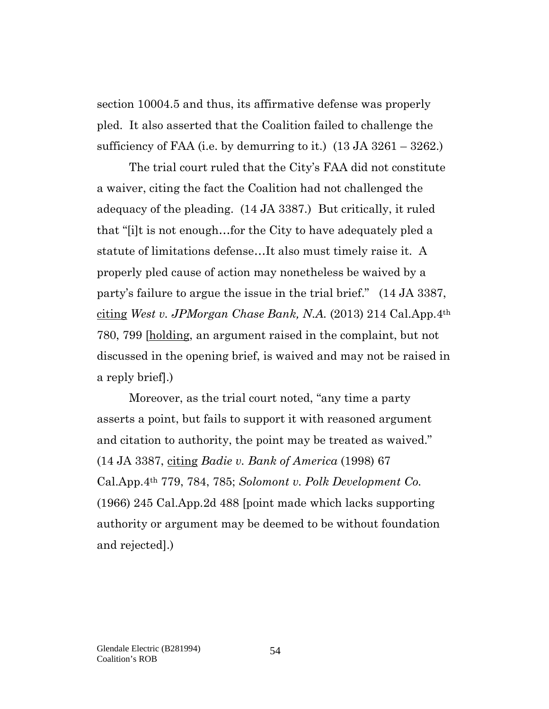section 10004.5 and thus, its affirmative defense was properly pled. It also asserted that the Coalition failed to challenge the sufficiency of FAA (i.e. by demurring to it.)  $(13 \text{ JA } 3261 - 3262)$ .

The trial court ruled that the City's FAA did not constitute a waiver, citing the fact the Coalition had not challenged the adequacy of the pleading. (14 JA 3387.) But critically, it ruled that "[i]t is not enough…for the City to have adequately pled a statute of limitations defense…It also must timely raise it. A properly pled cause of action may nonetheless be waived by a party's failure to argue the issue in the trial brief." (14 JA 3387, citing *West v. JPMorgan Chase Bank, N.A.* (2013) 214 Cal.App.4th 780, 799 [holding, an argument raised in the complaint, but not discussed in the opening brief, is waived and may not be raised in a reply brief].)

Moreover, as the trial court noted, "any time a party asserts a point, but fails to support it with reasoned argument and citation to authority, the point may be treated as waived." (14 JA 3387, citing *Badie v. Bank of America* (1998) 67 Cal.App.4th 779, 784, 785; *Solomont v. Polk Development Co.* (1966) 245 Cal.App.2d 488 [point made which lacks supporting authority or argument may be deemed to be without foundation and rejected].)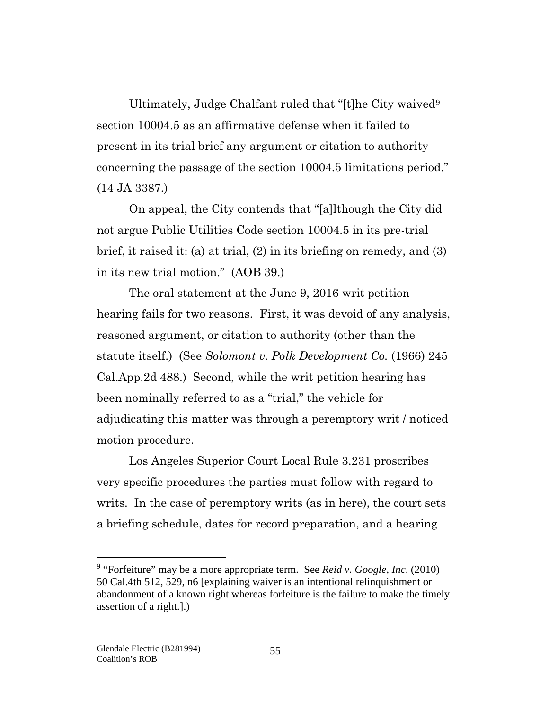Ultimately, Judge Chalfant ruled that "[t]he City waived<sup>[9](#page-54-0)</sup> section 10004.5 as an affirmative defense when it failed to present in its trial brief any argument or citation to authority concerning the passage of the section 10004.5 limitations period." (14 JA 3387.)

On appeal, the City contends that "[a]lthough the City did not argue Public Utilities Code section 10004.5 in its pre-trial brief, it raised it: (a) at trial, (2) in its briefing on remedy, and (3) in its new trial motion." (AOB 39.)

The oral statement at the June 9, 2016 writ petition hearing fails for two reasons. First, it was devoid of any analysis, reasoned argument, or citation to authority (other than the statute itself.) (See *Solomont v. Polk Development Co.* (1966) 245 Cal.App.2d 488.) Second, while the writ petition hearing has been nominally referred to as a "trial," the vehicle for adjudicating this matter was through a peremptory writ / noticed motion procedure.

Los Angeles Superior Court Local Rule 3.231 proscribes very specific procedures the parties must follow with regard to writs. In the case of peremptory writs (as in here), the court sets a briefing schedule, dates for record preparation, and a hearing

 $\overline{a}$ 

<span id="page-54-0"></span><sup>9</sup> "Forfeiture" may be a more appropriate term. See *Reid v. Google, Inc*. (2010) 50 Cal.4th 512, 529, n6 [explaining waiver is an intentional relinquishment or abandonment of a known right whereas forfeiture is the failure to make the timely assertion of a right.].)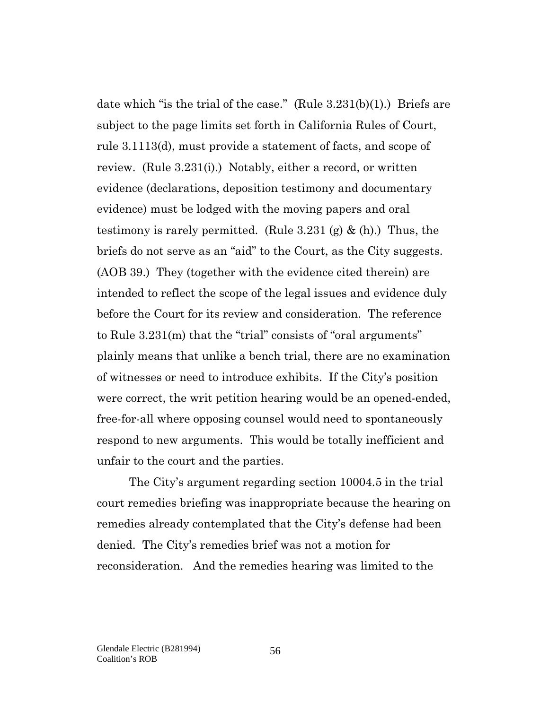date which "is the trial of the case." (Rule  $3.231(b)(1)$ .) Briefs are subject to the page limits set forth in California Rules of Court, rule 3.1113(d), must provide a statement of facts, and scope of review. (Rule 3.231(i).) Notably, either a record, or written evidence (declarations, deposition testimony and documentary evidence) must be lodged with the moving papers and oral testimony is rarely permitted. (Rule  $3.231$  (g)  $\&$  (h).) Thus, the briefs do not serve as an "aid" to the Court, as the City suggests. (AOB 39.) They (together with the evidence cited therein) are intended to reflect the scope of the legal issues and evidence duly before the Court for its review and consideration. The reference to Rule 3.231(m) that the "trial" consists of "oral arguments" plainly means that unlike a bench trial, there are no examination of witnesses or need to introduce exhibits. If the City's position were correct, the writ petition hearing would be an opened-ended, free-for-all where opposing counsel would need to spontaneously respond to new arguments. This would be totally inefficient and unfair to the court and the parties.

The City's argument regarding section 10004.5 in the trial court remedies briefing was inappropriate because the hearing on remedies already contemplated that the City's defense had been denied. The City's remedies brief was not a motion for reconsideration. And the remedies hearing was limited to the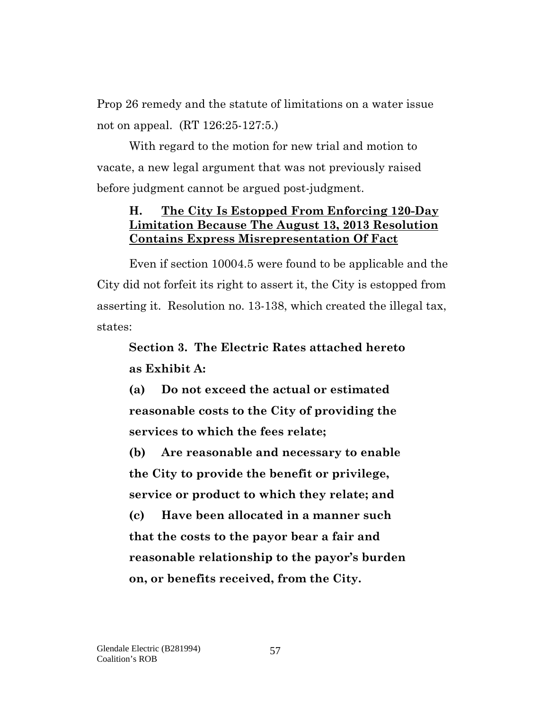Prop 26 remedy and the statute of limitations on a water issue not on appeal. (RT 126:25-127:5.)

With regard to the motion for new trial and motion to vacate, a new legal argument that was not previously raised before judgment cannot be argued post-judgment.

### **H. The City Is Estopped From Enforcing 120-Day Limitation Because The August 13, 2013 Resolution Contains Express Misrepresentation Of Fact**

Even if section 10004.5 were found to be applicable and the City did not forfeit its right to assert it, the City is estopped from asserting it. Resolution no. 13-138, which created the illegal tax, states:

## **Section 3. The Electric Rates attached hereto as Exhibit A:**

**(a) Do not exceed the actual or estimated reasonable costs to the City of providing the services to which the fees relate;**

**(b) Are reasonable and necessary to enable the City to provide the benefit or privilege, service or product to which they relate; and**

**(c) Have been allocated in a manner such that the costs to the payor bear a fair and reasonable relationship to the payor's burden on, or benefits received, from the City.**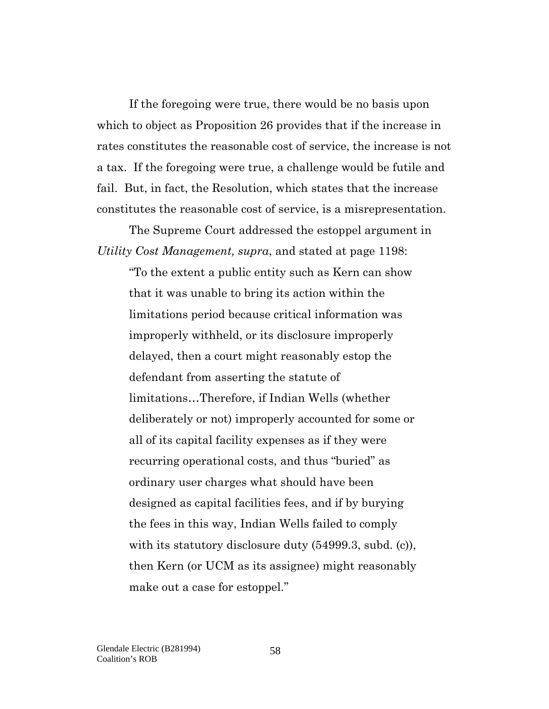If the foregoing were true, there would be no basis upon which to object as Proposition 26 provides that if the increase in rates constitutes the reasonable cost of service, the increase is not a tax. If the foregoing were true, a challenge would be futile and fail. But, in fact, the Resolution, which states that the increase constitutes the reasonable cost of service, is a misrepresentation.

The Supreme Court addressed the estoppel argument in *Utility Cost Management, supra*, and stated at page 1198:

"To the extent a public entity such as Kern can show that it was unable to bring its action within the limitations period because critical information was improperly withheld, or its disclosure improperly delayed, then a court might reasonably estop the defendant from asserting the statute of limitations…Therefore, if Indian Wells (whether deliberately or not) improperly accounted for some or all of its capital facility expenses as if they were recurring operational costs, and thus "buried" as ordinary user charges what should have been designed as capital facilities fees, and if by burying the fees in this way, Indian Wells failed to comply with its statutory disclosure duty (54999.3, subd. (c)), then Kern (or UCM as its assignee) might reasonably make out a case for estoppel."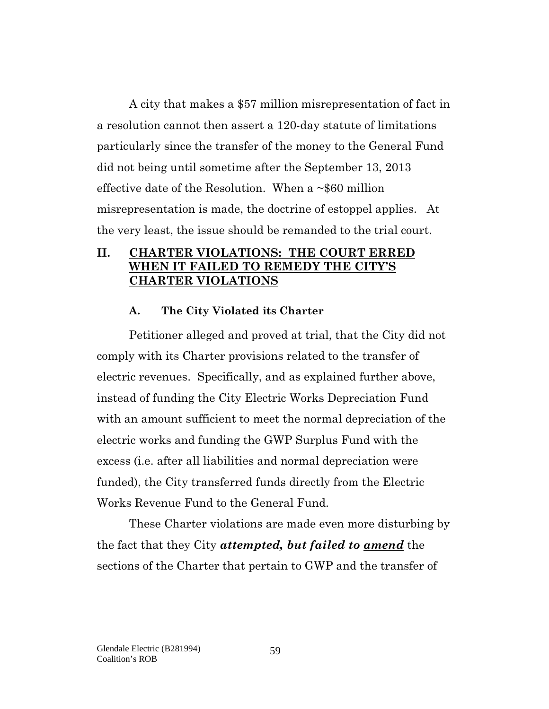A city that makes a \$57 million misrepresentation of fact in a resolution cannot then assert a 120-day statute of limitations particularly since the transfer of the money to the General Fund did not being until sometime after the September 13, 2013 effective date of the Resolution. When a  $\sim$ \$60 million misrepresentation is made, the doctrine of estoppel applies. At the very least, the issue should be remanded to the trial court.

#### **II. CHARTER VIOLATIONS: THE COURT ERRED WHEN IT FAILED TO REMEDY THE CITY'S CHARTER VIOLATIONS**

#### **A. The City Violated its Charter**

Petitioner alleged and proved at trial, that the City did not comply with its Charter provisions related to the transfer of electric revenues. Specifically, and as explained further above, instead of funding the City Electric Works Depreciation Fund with an amount sufficient to meet the normal depreciation of the electric works and funding the GWP Surplus Fund with the excess (i.e. after all liabilities and normal depreciation were funded), the City transferred funds directly from the Electric Works Revenue Fund to the General Fund.

These Charter violations are made even more disturbing by the fact that they City *attempted, but failed to amend* the sections of the Charter that pertain to GWP and the transfer of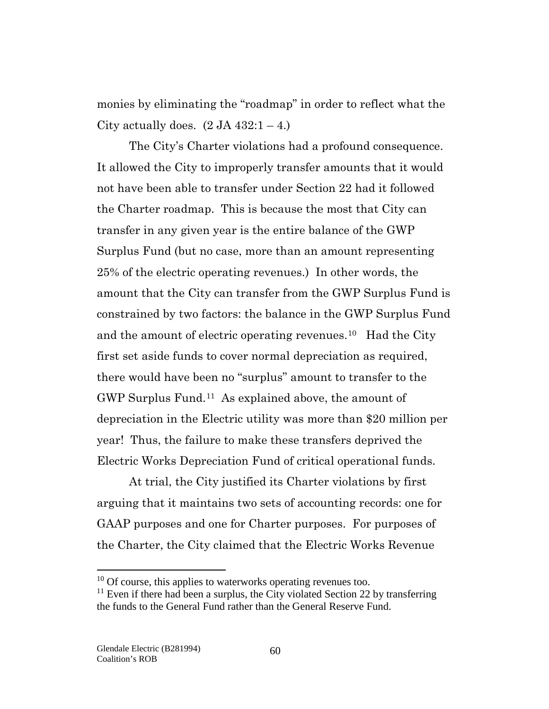monies by eliminating the "roadmap" in order to reflect what the City actually does.  $(2 JA 432:1 – 4.)$ 

The City's Charter violations had a profound consequence. It allowed the City to improperly transfer amounts that it would not have been able to transfer under Section 22 had it followed the Charter roadmap. This is because the most that City can transfer in any given year is the entire balance of the GWP Surplus Fund (but no case, more than an amount representing 25% of the electric operating revenues.) In other words, the amount that the City can transfer from the GWP Surplus Fund is constrained by two factors: the balance in the GWP Surplus Fund and the amount of electric operating revenues.[10](#page-59-0) Had the City first set aside funds to cover normal depreciation as required, there would have been no "surplus" amount to transfer to the GWP Surplus Fund.[11](#page-59-1) As explained above, the amount of depreciation in the Electric utility was more than \$20 million per year! Thus, the failure to make these transfers deprived the Electric Works Depreciation Fund of critical operational funds.

At trial, the City justified its Charter violations by first arguing that it maintains two sets of accounting records: one for GAAP purposes and one for Charter purposes. For purposes of the Charter, the City claimed that the Electric Works Revenue

 $\overline{a}$ 

<span id="page-59-0"></span> $10$  Of course, this applies to waterworks operating revenues too.

<span id="page-59-1"></span> $11$  Even if there had been a surplus, the City violated Section 22 by transferring the funds to the General Fund rather than the General Reserve Fund.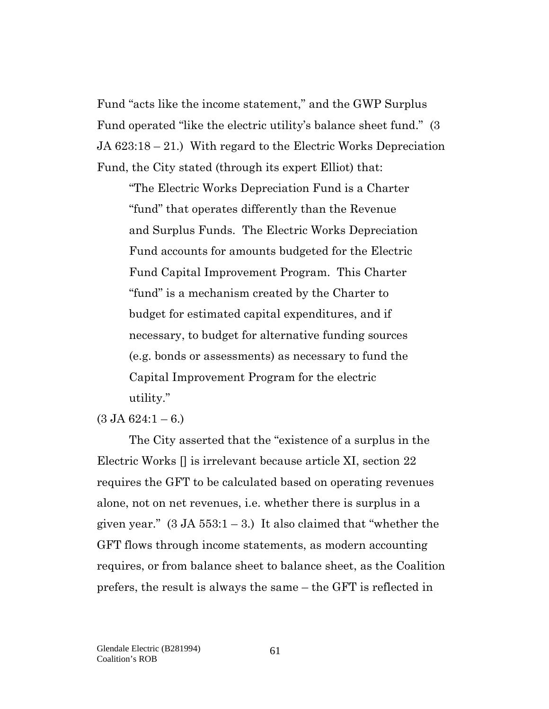Fund "acts like the income statement," and the GWP Surplus Fund operated "like the electric utility's balance sheet fund." (3 JA 623:18 – 21.) With regard to the Electric Works Depreciation Fund, the City stated (through its expert Elliot) that:

"The Electric Works Depreciation Fund is a Charter "fund" that operates differently than the Revenue and Surplus Funds. The Electric Works Depreciation Fund accounts for amounts budgeted for the Electric Fund Capital Improvement Program. This Charter "fund" is a mechanism created by the Charter to budget for estimated capital expenditures, and if necessary, to budget for alternative funding sources (e.g. bonds or assessments) as necessary to fund the Capital Improvement Program for the electric utility."

 $(3 \text{ JA } 624:1 - 6.)$ 

The City asserted that the "existence of a surplus in the Electric Works [] is irrelevant because article XI, section 22 requires the GFT to be calculated based on operating revenues alone, not on net revenues, i.e. whether there is surplus in a given year."  $(3 \text{ JA } 553:1-3)$  It also claimed that "whether the GFT flows through income statements, as modern accounting requires, or from balance sheet to balance sheet, as the Coalition prefers, the result is always the same – the GFT is reflected in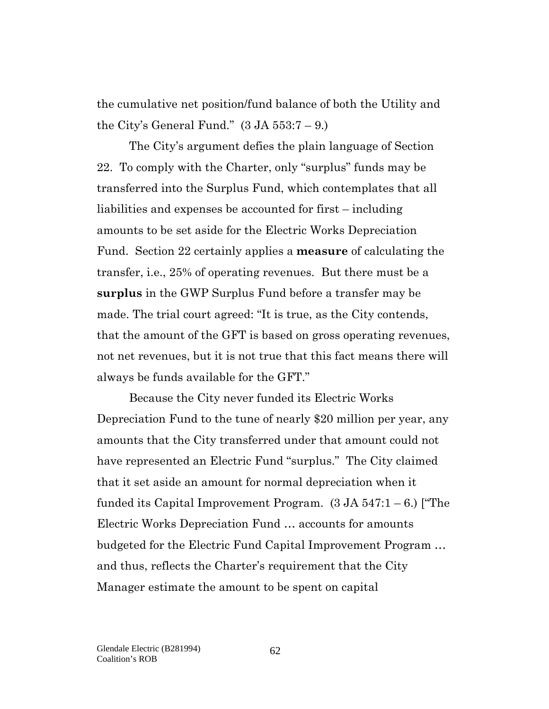the cumulative net position/fund balance of both the Utility and the City's General Fund."  $(3 \text{ JA } 553:7 - 9)$ .

The City's argument defies the plain language of Section 22. To comply with the Charter, only "surplus" funds may be transferred into the Surplus Fund, which contemplates that all liabilities and expenses be accounted for first – including amounts to be set aside for the Electric Works Depreciation Fund. Section 22 certainly applies a **measure** of calculating the transfer, i.e., 25% of operating revenues. But there must be a **surplus** in the GWP Surplus Fund before a transfer may be made. The trial court agreed: "It is true, as the City contends, that the amount of the GFT is based on gross operating revenues, not net revenues, but it is not true that this fact means there will always be funds available for the GFT."

Because the City never funded its Electric Works Depreciation Fund to the tune of nearly \$20 million per year, any amounts that the City transferred under that amount could not have represented an Electric Fund "surplus." The City claimed that it set aside an amount for normal depreciation when it funded its Capital Improvement Program.  $(3 \text{ JA } 547:1-6)$  ["The Electric Works Depreciation Fund … accounts for amounts budgeted for the Electric Fund Capital Improvement Program … and thus, reflects the Charter's requirement that the City Manager estimate the amount to be spent on capital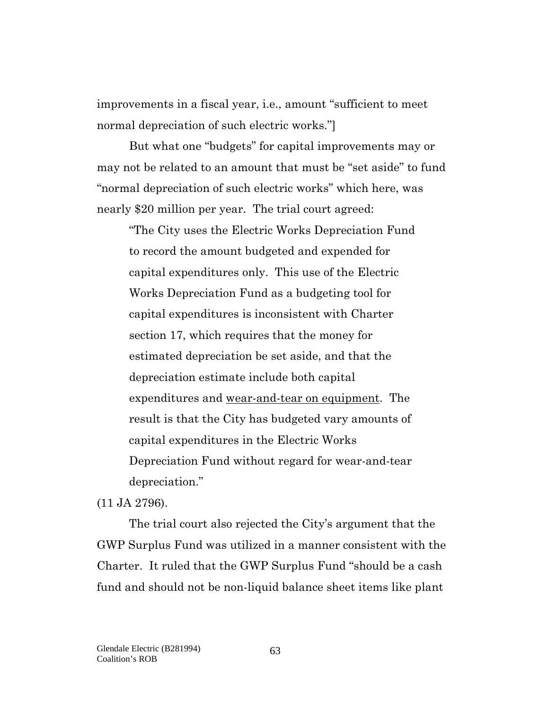improvements in a fiscal year, i.e., amount "sufficient to meet normal depreciation of such electric works."]

But what one "budgets" for capital improvements may or may not be related to an amount that must be "set aside" to fund "normal depreciation of such electric works" which here, was nearly \$20 million per year. The trial court agreed:

"The City uses the Electric Works Depreciation Fund to record the amount budgeted and expended for capital expenditures only. This use of the Electric Works Depreciation Fund as a budgeting tool for capital expenditures is inconsistent with Charter section 17, which requires that the money for estimated depreciation be set aside, and that the depreciation estimate include both capital expenditures and wear-and-tear on equipment. The result is that the City has budgeted vary amounts of capital expenditures in the Electric Works Depreciation Fund without regard for wear-and-tear depreciation."

(11 JA 2796).

The trial court also rejected the City's argument that the GWP Surplus Fund was utilized in a manner consistent with the Charter. It ruled that the GWP Surplus Fund "should be a cash fund and should not be non-liquid balance sheet items like plant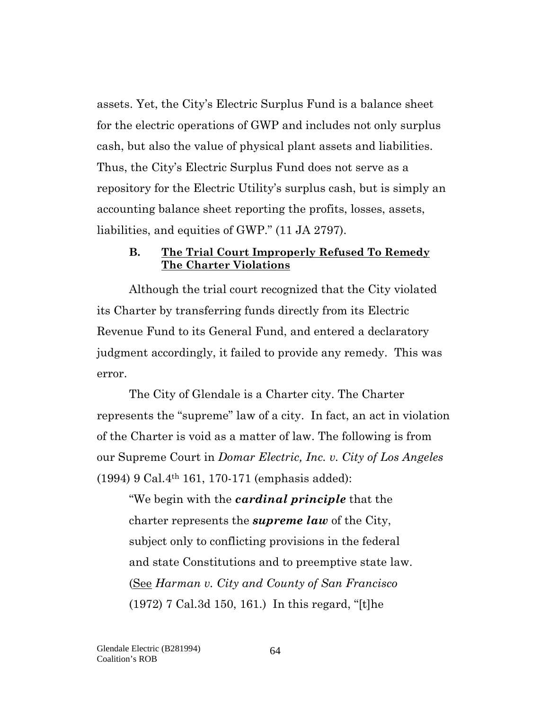assets. Yet, the City's Electric Surplus Fund is a balance sheet for the electric operations of GWP and includes not only surplus cash, but also the value of physical plant assets and liabilities. Thus, the City's Electric Surplus Fund does not serve as a repository for the Electric Utility's surplus cash, but is simply an accounting balance sheet reporting the profits, losses, assets, liabilities, and equities of GWP." (11 JA 2797).

#### **B. The Trial Court Improperly Refused To Remedy The Charter Violations**

Although the trial court recognized that the City violated its Charter by transferring funds directly from its Electric Revenue Fund to its General Fund, and entered a declaratory judgment accordingly, it failed to provide any remedy. This was error.

The City of Glendale is a Charter city. The Charter represents the "supreme" law of a city. In fact, an act in violation of the Charter is void as a matter of law. The following is from our Supreme Court in *Domar Electric, Inc. v. City of Los Angeles* (1994) 9 Cal.4th 161, 170-171 (emphasis added):

"We begin with the *cardinal principle* that the charter represents the *supreme law* of the City, subject only to conflicting provisions in the federal and state Constitutions and to preemptive state law. (See *Harman v. City and County of San Francisco* (1972) 7 Cal.3d 150, 161.) In this regard, "[t]he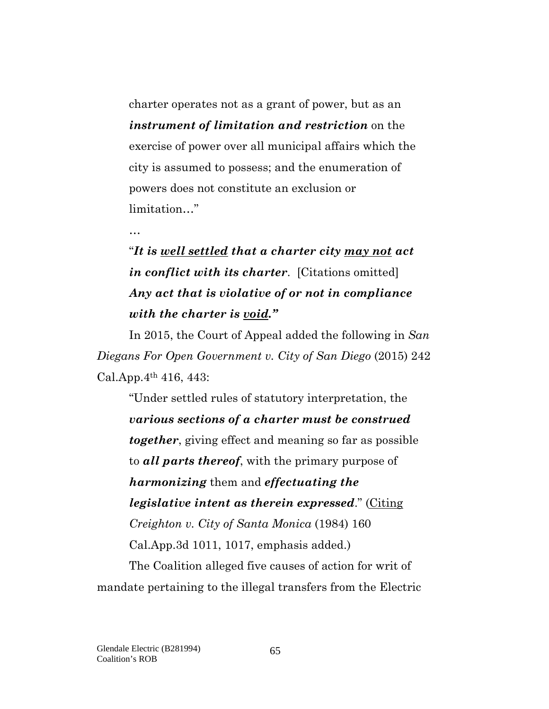charter operates not as a grant of power, but as an *instrument of limitation and restriction* on the exercise of power over all municipal affairs which the city is assumed to possess; and the enumeration of powers does not constitute an exclusion or limitation…"

#### …

# "*It is well settled that a charter city may not act in conflict with its charter*. [Citations omitted] *Any act that is violative of or not in compliance with the charter is void."*

In 2015, the Court of Appeal added the following in *San Diegans For Open Government v. City of San Diego* (2015) 242 Cal.App.4th 416, 443:

"Under settled rules of statutory interpretation, the *various sections of a charter must be construed together*, giving effect and meaning so far as possible to *all parts thereof*, with the primary purpose of *harmonizing* them and *effectuating the legislative intent as therein expressed*." (Citing *Creighton v. City of Santa Monica* (1984) 160 Cal.App.3d 1011, 1017, emphasis added.)

The Coalition alleged five causes of action for writ of mandate pertaining to the illegal transfers from the Electric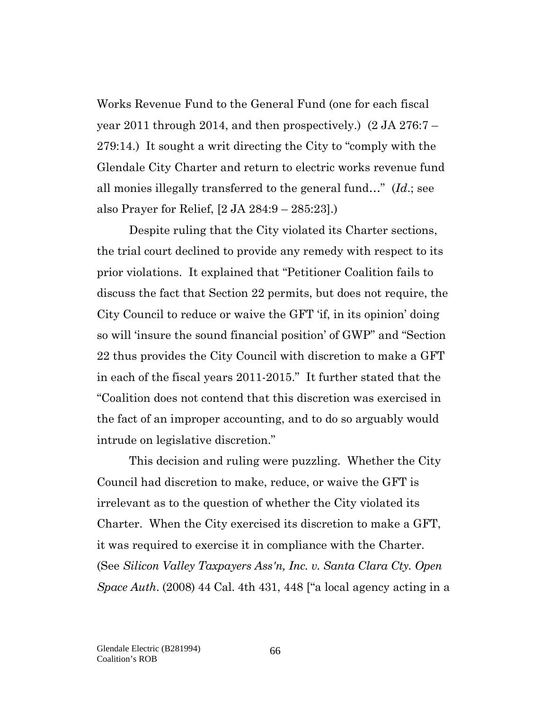Works Revenue Fund to the General Fund (one for each fiscal year 2011 through 2014, and then prospectively.) (2 JA 276:7 – 279:14.) It sought a writ directing the City to "comply with the Glendale City Charter and return to electric works revenue fund all monies illegally transferred to the general fund…" (*Id*.; see also Prayer for Relief, [2 JA 284:9 – 285:23].)

Despite ruling that the City violated its Charter sections, the trial court declined to provide any remedy with respect to its prior violations. It explained that "Petitioner Coalition fails to discuss the fact that Section 22 permits, but does not require, the City Council to reduce or waive the GFT 'if, in its opinion' doing so will 'insure the sound financial position' of GWP" and "Section 22 thus provides the City Council with discretion to make a GFT in each of the fiscal years 2011-2015." It further stated that the "Coalition does not contend that this discretion was exercised in the fact of an improper accounting, and to do so arguably would intrude on legislative discretion."

This decision and ruling were puzzling. Whether the City Council had discretion to make, reduce, or waive the GFT is irrelevant as to the question of whether the City violated its Charter. When the City exercised its discretion to make a GFT, it was required to exercise it in compliance with the Charter. (See *Silicon Valley Taxpayers Ass'n, Inc. v. Santa Clara Cty. Open Space Auth*. (2008) 44 Cal. 4th 431, 448 ["a local agency acting in a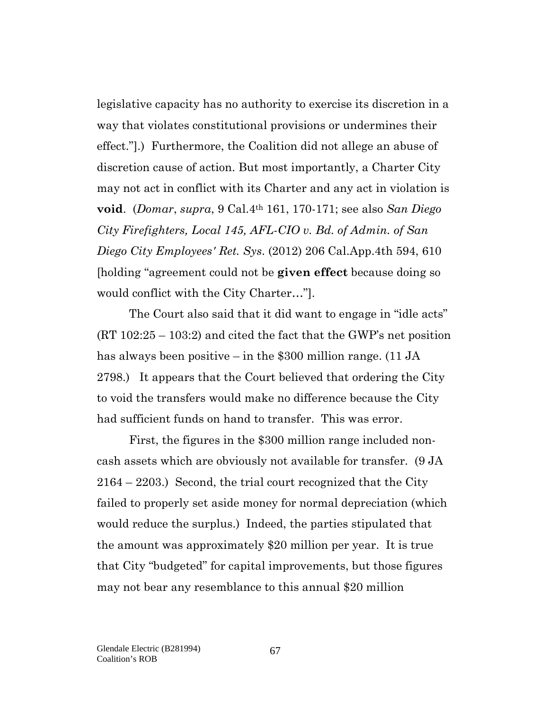legislative capacity has no authority to exercise its discretion in a way that violates constitutional provisions or undermines their effect."].) Furthermore, the Coalition did not allege an abuse of discretion cause of action. But most importantly, a Charter City may not act in conflict with its Charter and any act in violation is **void**. (*Domar*, *supra*, 9 Cal.4th 161, 170-171; see also *San Diego City Firefighters, Local 145, AFL-CIO v. Bd. of Admin. of San Diego City Employees' Ret. Sys*. (2012) 206 Cal.App.4th 594, 610 [holding "agreement could not be **given effect** because doing so would conflict with the City Charter…"].

The Court also said that it did want to engage in "idle acts" (RT 102:25 – 103:2) and cited the fact that the GWP's net position has always been positive – in the \$300 million range. (11 JA 2798.) It appears that the Court believed that ordering the City to void the transfers would make no difference because the City had sufficient funds on hand to transfer. This was error.

First, the figures in the \$300 million range included noncash assets which are obviously not available for transfer. (9 JA 2164 – 2203.) Second, the trial court recognized that the City failed to properly set aside money for normal depreciation (which would reduce the surplus.) Indeed, the parties stipulated that the amount was approximately \$20 million per year. It is true that City "budgeted" for capital improvements, but those figures may not bear any resemblance to this annual \$20 million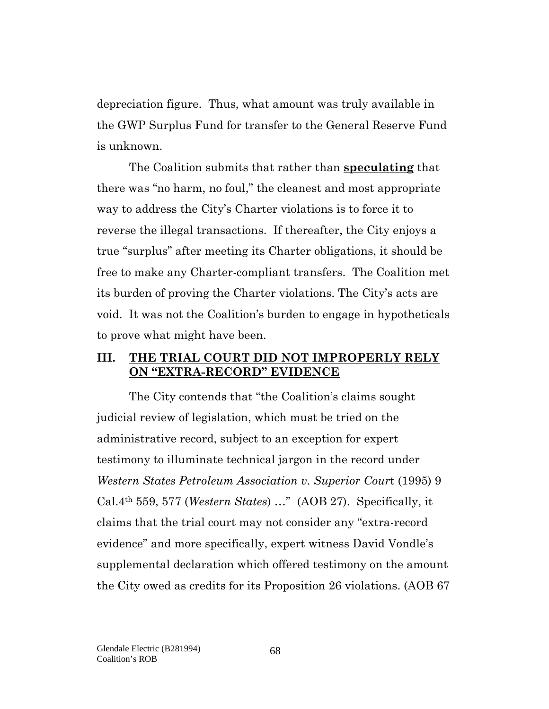depreciation figure. Thus, what amount was truly available in the GWP Surplus Fund for transfer to the General Reserve Fund is unknown.

The Coalition submits that rather than **speculating** that there was "no harm, no foul," the cleanest and most appropriate way to address the City's Charter violations is to force it to reverse the illegal transactions. If thereafter, the City enjoys a true "surplus" after meeting its Charter obligations, it should be free to make any Charter-compliant transfers. The Coalition met its burden of proving the Charter violations. The City's acts are void. It was not the Coalition's burden to engage in hypotheticals to prove what might have been.

#### **III. THE TRIAL COURT DID NOT IMPROPERLY RELY ON "EXTRA-RECORD" EVIDENCE**

The City contends that "the Coalition's claims sought judicial review of legislation, which must be tried on the administrative record, subject to an exception for expert testimony to illuminate technical jargon in the record under *Western States Petroleum Association v. Superior Cour*t (1995) 9 Cal.4th 559, 577 (*Western States*) …" (AOB 27). Specifically, it claims that the trial court may not consider any "extra-record evidence" and more specifically, expert witness David Vondle's supplemental declaration which offered testimony on the amount the City owed as credits for its Proposition 26 violations. (AOB 67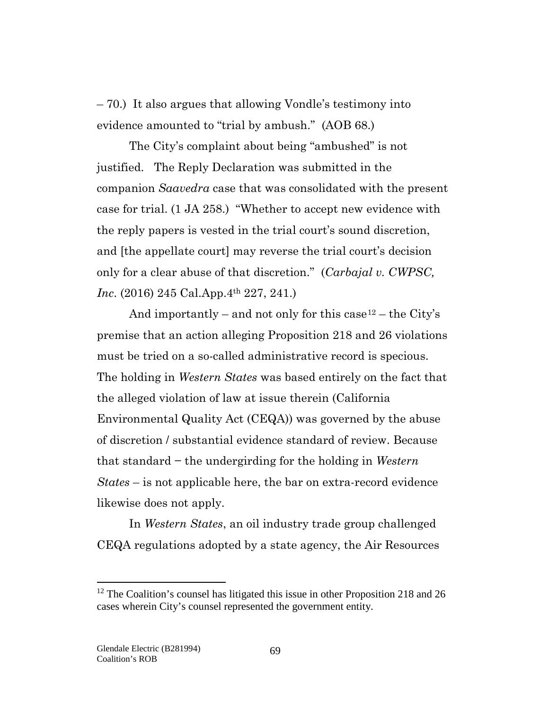– 70.) It also argues that allowing Vondle's testimony into evidence amounted to "trial by ambush." (AOB 68.)

The City's complaint about being "ambushed" is not justified. The Reply Declaration was submitted in the companion *Saavedra* case that was consolidated with the present case for trial. (1 JA 258.) "Whether to accept new evidence with the reply papers is vested in the trial court's sound discretion, and [the appellate court] may reverse the trial court's decision only for a clear abuse of that discretion." (*Carbajal v. CWPSC, Inc.* (2016) 245 Cal.App.4<sup>th</sup> 227, 241.)

And importantly – and not only for this case  $12$  – the City's premise that an action alleging Proposition 218 and 26 violations must be tried on a so-called administrative record is specious. The holding in *Western States* was based entirely on the fact that the alleged violation of law at issue therein (California Environmental Quality Act (CEQA)) was governed by the abuse of discretion / substantial evidence standard of review. Because that standard − the undergirding for the holding in *Western States* – is not applicable here, the bar on extra-record evidence likewise does not apply.

In *Western States*, an oil industry trade group challenged CEQA regulations adopted by a state agency, the Air Resources

 $\overline{a}$ 

<span id="page-68-0"></span> $12$  The Coalition's counsel has litigated this issue in other Proposition 218 and 26 cases wherein City's counsel represented the government entity.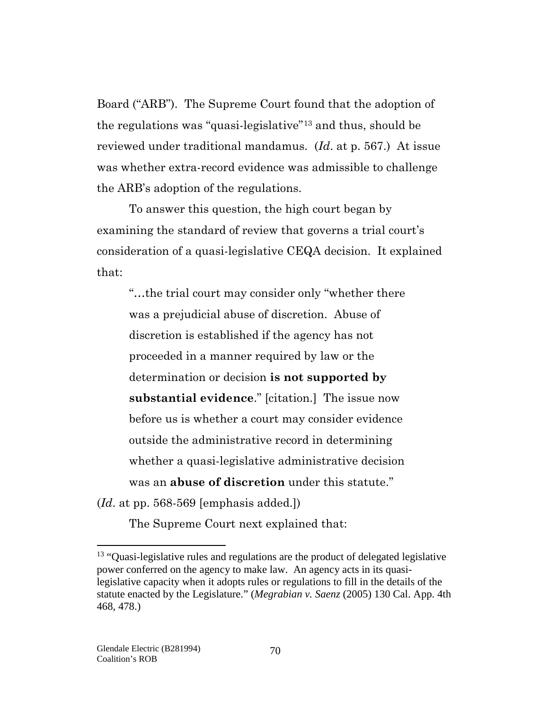Board ("ARB"). The Supreme Court found that the adoption of the regulations was "quasi-legislative"[13](#page-69-0) and thus, should be reviewed under traditional mandamus. (*Id*. at p. 567.) At issue was whether extra-record evidence was admissible to challenge the ARB's adoption of the regulations.

To answer this question, the high court began by examining the standard of review that governs a trial court's consideration of a quasi-legislative CEQA decision. It explained that:

"…the trial court may consider only "whether there was a prejudicial abuse of discretion. Abuse of discretion is established if the agency has not proceeded in a manner required by law or the determination or decision **is not supported by substantial evidence**." [citation.] The issue now before us is whether a court may consider evidence outside the administrative record in determining whether a quasi-legislative administrative decision was an **abuse of discretion** under this statute." (*Id*. at pp. 568-569 [emphasis added.])

The Supreme Court next explained that:

 $\overline{a}$ 

<span id="page-69-0"></span><sup>&</sup>lt;sup>13</sup> "Quasi-legislative rules and regulations are the product of delegated legislative power conferred on the agency to make law. An agency acts in its quasilegislative capacity when it adopts rules or regulations to fill in the details of the statute enacted by the Legislature." (*Megrabian v. Saenz* (2005) 130 Cal. App. 4th 468, 478.)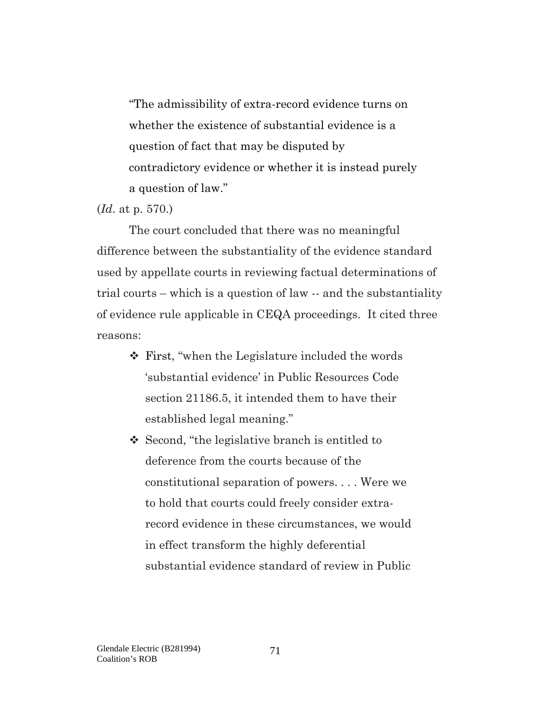"The admissibility of extra-record evidence turns on whether the existence of substantial evidence is a question of fact that may be disputed by contradictory evidence or whether it is instead purely a question of law."

(*Id*. at p. 570.)

The court concluded that there was no meaningful difference between the substantiality of the evidence standard used by appellate courts in reviewing factual determinations of trial courts – which is a question of law -- and the substantiality of evidence rule applicable in CEQA proceedings. It cited three reasons:

- First, "when the Legislature included the words 'substantial evidence' in Public Resources Code section 21186.5, it intended them to have their established legal meaning."
- Second, "the legislative branch is entitled to deference from the courts because of the constitutional separation of powers. . . . Were we to hold that courts could freely consider extrarecord evidence in these circumstances, we would in effect transform the highly deferential substantial evidence standard of review in Public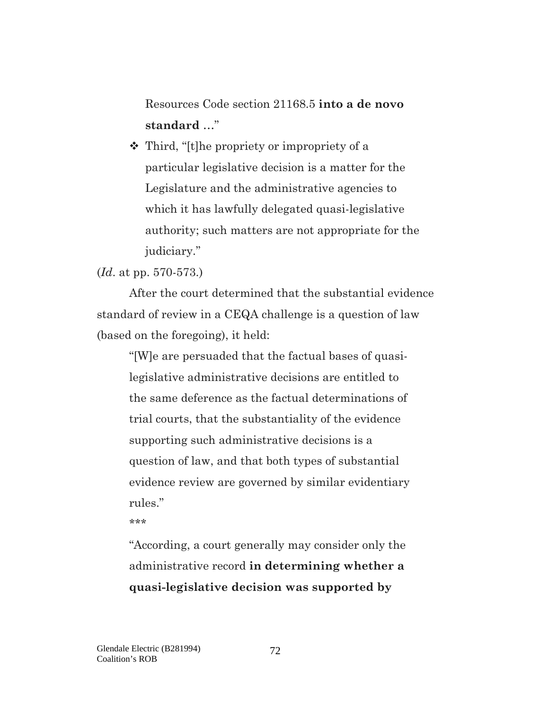Resources Code section 21168.5 **into a de novo standard** …"

 Third, "[t]he propriety or impropriety of a particular legislative decision is a matter for the Legislature and the administrative agencies to which it has lawfully delegated quasi-legislative authority; such matters are not appropriate for the judiciary."

#### (*Id*. at pp. 570-573.)

After the court determined that the substantial evidence standard of review in a CEQA challenge is a question of law (based on the foregoing), it held:

"[W]e are persuaded that the factual bases of quasilegislative administrative decisions are entitled to the same deference as the factual determinations of trial courts, that the substantiality of the evidence supporting such administrative decisions is a question of law, and that both types of substantial evidence review are governed by similar evidentiary rules."

\*\*\*

"According, a court generally may consider only the administrative record **in determining whether a quasi-legislative decision was supported by**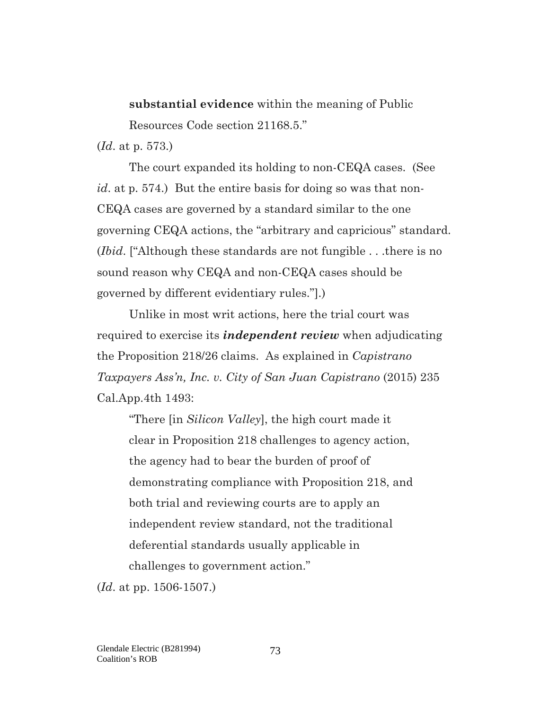# **substantial evidence** within the meaning of Public Resources Code section 21168.5."

(*Id*. at p. 573.)

The court expanded its holding to non-CEQA cases. (See *id*. at p. 574.) But the entire basis for doing so was that non-CEQA cases are governed by a standard similar to the one governing CEQA actions, the "arbitrary and capricious" standard. (*Ibid*. ["Although these standards are not fungible . . .there is no sound reason why CEQA and non-CEQA cases should be governed by different evidentiary rules."].)

Unlike in most writ actions, here the trial court was required to exercise its *independent review* when adjudicating the Proposition 218/26 claims. As explained in *Capistrano Taxpayers Ass'n, Inc. v. City of San Juan Capistrano* (2015) 235 Cal.App.4th 1493:

"There [in *Silicon Valley*], the high court made it clear in Proposition 218 challenges to agency action, the agency had to bear the burden of proof of demonstrating compliance with Proposition 218, and both trial and reviewing courts are to apply an independent review standard, not the traditional deferential standards usually applicable in challenges to government action."

(*Id*. at pp. 1506-1507.)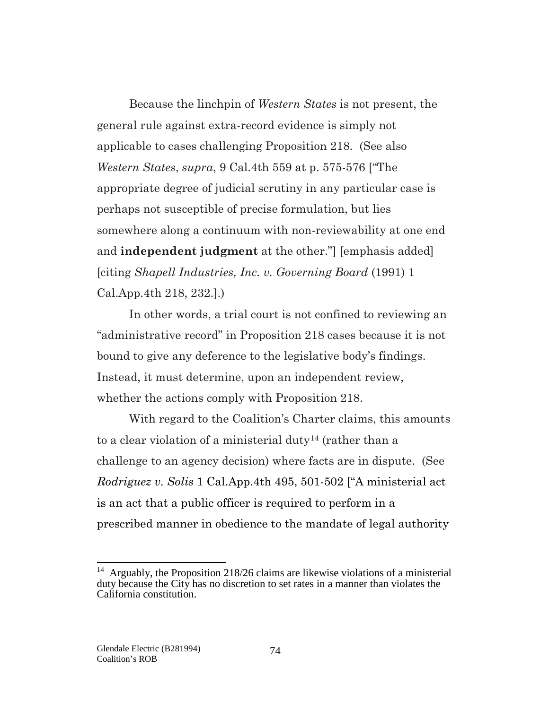Because the linchpin of *Western States* is not present, the general rule against extra-record evidence is simply not applicable to cases challenging Proposition 218. (See also *Western States*, *supra*, 9 Cal.4th 559 at p. 575-576 ["The appropriate degree of judicial scrutiny in any particular case is perhaps not susceptible of precise formulation, but lies somewhere along a continuum with non-reviewability at one end and **independent judgment** at the other."] [emphasis added] [citing *Shapell Industries, Inc. v. Governing Board* (1991) 1 Cal.App.4th 218, 232.].)

In other words, a trial court is not confined to reviewing an "administrative record" in Proposition 218 cases because it is not bound to give any deference to the legislative body's findings. Instead, it must determine, upon an independent review, whether the actions comply with Proposition 218.

With regard to the Coalition's Charter claims, this amounts to a clear violation of a ministerial duty<sup>[14](#page-73-0)</sup> (rather than a challenge to an agency decision) where facts are in dispute. (See *Rodriguez v. Solis* 1 Cal.App.4th 495, 501-502 ["A ministerial act is an act that a public officer is required to perform in a prescribed manner in obedience to the mandate of legal authority

<span id="page-73-0"></span><sup>&</sup>lt;sup>14</sup> Arguably, the Proposition 218/26 claims are likewise violations of a ministerial duty because the City has no discretion to set rates in a manner than violates the California constitution.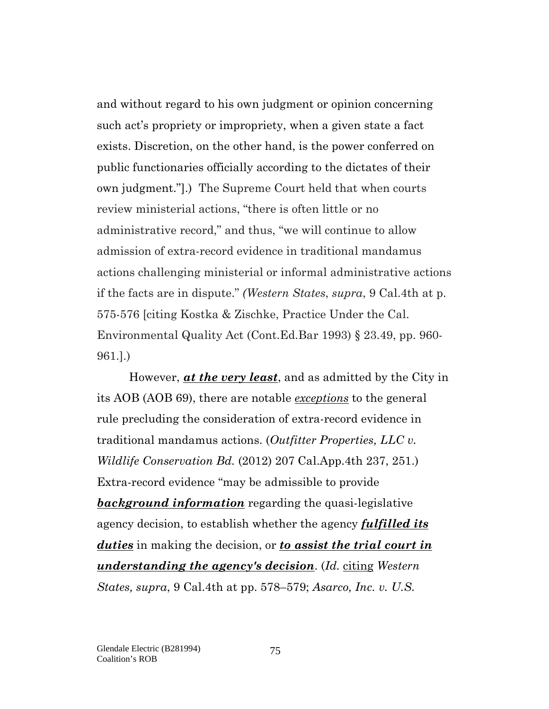and without regard to his own judgment or opinion concerning such act's propriety or impropriety, when a given state a fact exists. Discretion, on the other hand, is the power conferred on public functionaries officially according to the dictates of their own judgment."].) The Supreme Court held that when courts review ministerial actions, "there is often little or no administrative record," and thus, "we will continue to allow admission of extra-record evidence in traditional mandamus actions challenging ministerial or informal administrative actions if the facts are in dispute." *(Western States*, *supra*, 9 Cal.4th at p. 575-576 [citing Kostka & Zischke, Practice Under the Cal. Environmental Quality Act (Cont.Ed.Bar 1993) § 23.49, pp. 960- 961.].)

However, *at the very least*, and as admitted by the City in its AOB (AOB 69), there are notable *exceptions* to the general rule precluding the consideration of extra-record evidence in traditional mandamus actions. (*Outfitter Properties, LLC v. Wildlife Conservation Bd.* (2012) 207 Cal.App.4th 237, 251.) Extra-record evidence "may be admissible to provide *background information* regarding the quasi-legislative agency decision, to establish whether the agency *fulfilled its duties* in making the decision, or *to assist the trial court in understanding the agency's decision*. (*Id.* citing *Western States, supra*, 9 Cal.4th at pp. 578–579; *Asarco, Inc. v. U.S.*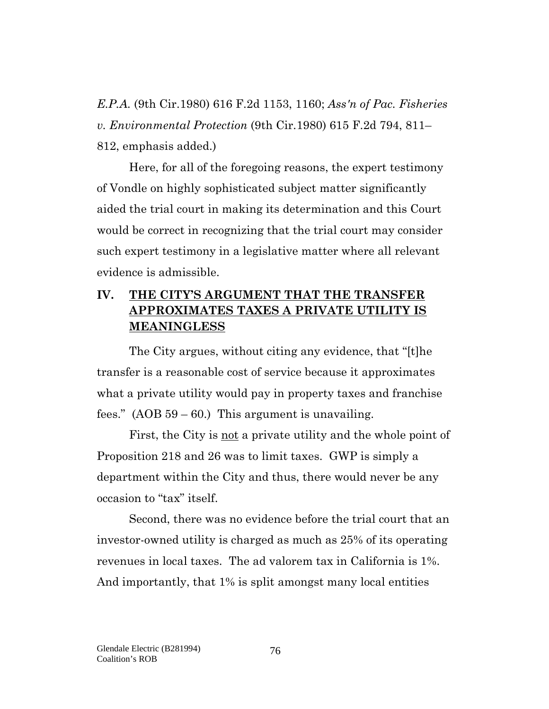*E.P.A.* (9th Cir.1980) 616 F.2d 1153, 1160; *Ass'n of Pac. Fisheries v. Environmental Protection* (9th Cir.1980) 615 F.2d 794, 811– 812, emphasis added.)

Here, for all of the foregoing reasons, the expert testimony of Vondle on highly sophisticated subject matter significantly aided the trial court in making its determination and this Court would be correct in recognizing that the trial court may consider such expert testimony in a legislative matter where all relevant evidence is admissible.

# **IV. THE CITY'S ARGUMENT THAT THE TRANSFER APPROXIMATES TAXES A PRIVATE UTILITY IS MEANINGLESS**

The City argues, without citing any evidence, that "[t]he transfer is a reasonable cost of service because it approximates what a private utility would pay in property taxes and franchise fees."  $(AOB 59 - 60.)$  This argument is unavailing.

First, the City is <u>not</u> a private utility and the whole point of Proposition 218 and 26 was to limit taxes. GWP is simply a department within the City and thus, there would never be any occasion to "tax" itself.

Second, there was no evidence before the trial court that an investor-owned utility is charged as much as 25% of its operating revenues in local taxes. The ad valorem tax in California is 1%. And importantly, that 1% is split amongst many local entities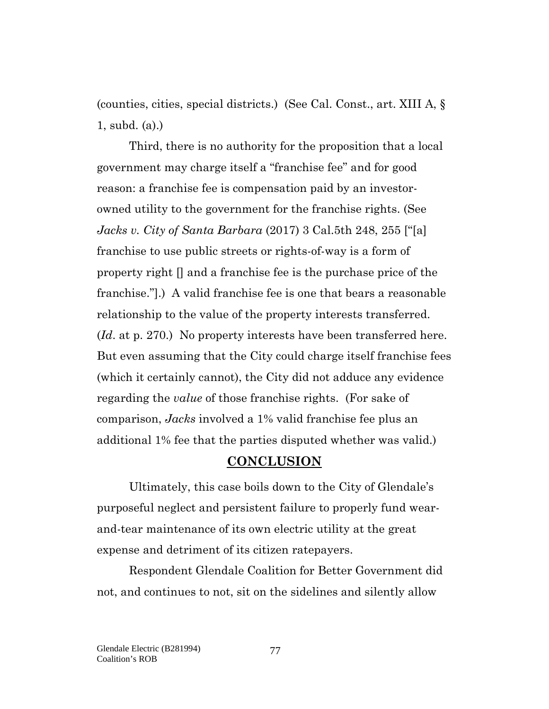(counties, cities, special districts.) (See Cal. Const., art. XIII A, § 1, subd. (a).)

Third, there is no authority for the proposition that a local government may charge itself a "franchise fee" and for good reason: a franchise fee is compensation paid by an investorowned utility to the government for the franchise rights. (See *Jacks v. City of Santa Barbara* (2017) 3 Cal.5th 248, 255 ["[a] franchise to use public streets or rights-of-way is a form of property right [] and a franchise fee is the purchase price of the franchise."].) A valid franchise fee is one that bears a reasonable relationship to the value of the property interests transferred. (*Id*. at p. 270.) No property interests have been transferred here. But even assuming that the City could charge itself franchise fees (which it certainly cannot), the City did not adduce any evidence regarding the *value* of those franchise rights. (For sake of comparison, *Jacks* involved a 1% valid franchise fee plus an additional 1% fee that the parties disputed whether was valid.)

### **CONCLUSION**

Ultimately, this case boils down to the City of Glendale's purposeful neglect and persistent failure to properly fund wearand-tear maintenance of its own electric utility at the great expense and detriment of its citizen ratepayers.

Respondent Glendale Coalition for Better Government did not, and continues to not, sit on the sidelines and silently allow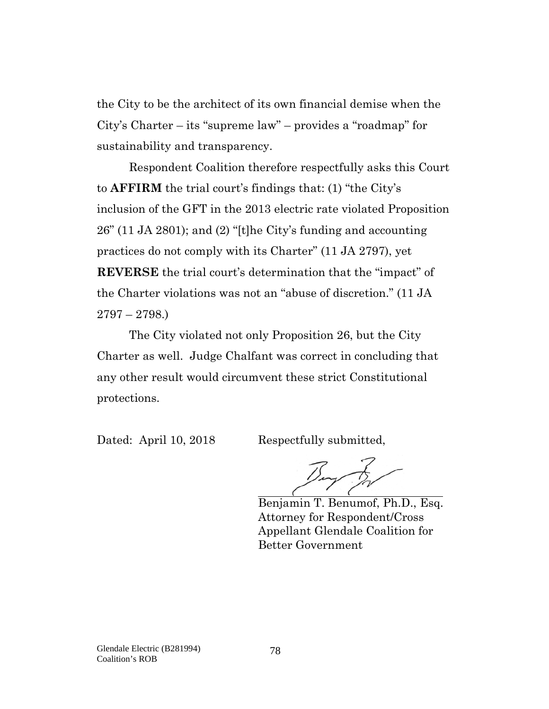the City to be the architect of its own financial demise when the City's Charter – its "supreme law" – provides a "roadmap" for sustainability and transparency.

Respondent Coalition therefore respectfully asks this Court to **AFFIRM** the trial court's findings that: (1) "the City's inclusion of the GFT in the 2013 electric rate violated Proposition 26" (11 JA 2801); and (2) "[t]he City's funding and accounting practices do not comply with its Charter" (11 JA 2797), yet **REVERSE** the trial court's determination that the "impact" of the Charter violations was not an "abuse of discretion." (11 JA 2797 – 2798.)

The City violated not only Proposition 26, but the City Charter as well. Judge Chalfant was correct in concluding that any other result would circumvent these strict Constitutional protections.

Dated: April 10, 2018 Respectfully submitted,

Benjamin T. Benumof, Ph.D., Esq. Attorney for Respondent/Cross Appellant Glendale Coalition for Better Government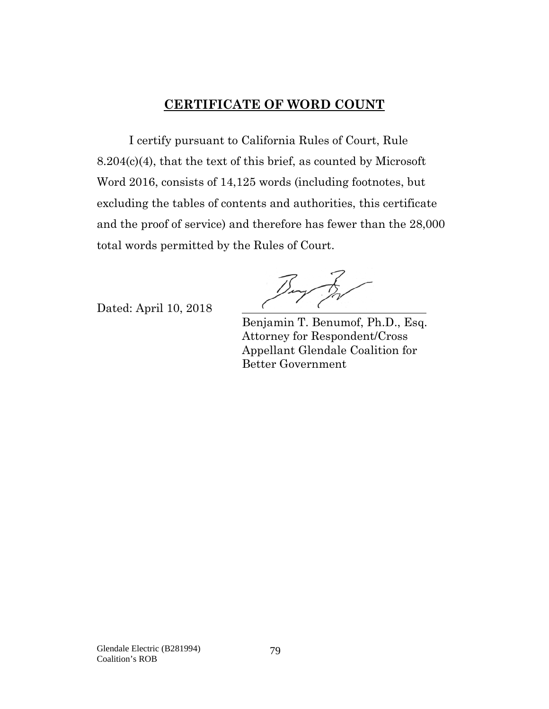# **CERTIFICATE OF WORD COUNT**

I certify pursuant to California Rules of Court, Rule 8.204(c)(4), that the text of this brief, as counted by Microsoft Word 2016, consists of 14,125 words (including footnotes, but excluding the tables of contents and authorities, this certificate and the proof of service) and therefore has fewer than the 28,000 total words permitted by the Rules of Court.

Dated: April 10, 2018

 Benjamin T. Benumof, Ph.D., Esq. Attorney for Respondent/Cross Appellant Glendale Coalition for Better Government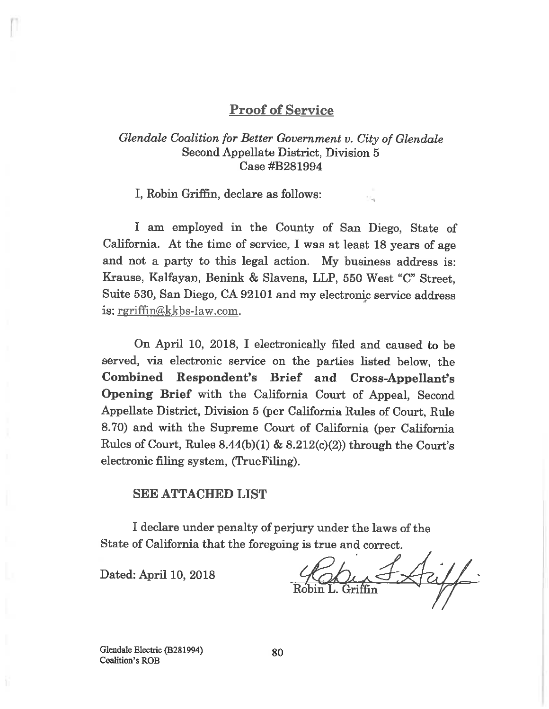# **Proof of Service**

# Glendale Coalition for Better Government v. City of Glendale Second Appellate District, Division 5 Case #B281994

I, Robin Griffin, declare as follows:

I am employed in the County of San Diego, State of California. At the time of service, I was at least 18 years of age and not a party to this legal action. My business address is: Krause, Kalfayan, Benink & Slavens, LLP, 550 West "C" Street. Suite 530, San Diego, CA 92101 and my electronic service address is: rgriffin@kkbs-law.com.

On April 10, 2018, I electronically filed and caused to be served, via electronic service on the parties listed below, the Combined Respondent's Brief and Cross-Appellant's Opening Brief with the California Court of Appeal, Second Appellate District, Division 5 (per California Rules of Court, Rule 8.70) and with the Supreme Court of California (per California Rules of Court, Rules  $8.44(b)(1)$  &  $8.212(c)(2)$  through the Court's electronic filing system, (TrueFiling).

#### **SEE ATTACHED LIST**

I declare under penalty of perjury under the laws of the State of California that the foregoing is true and correct.

Dated: April 10, 2018

Glendale Electric (B281994) **Coalition's ROB**